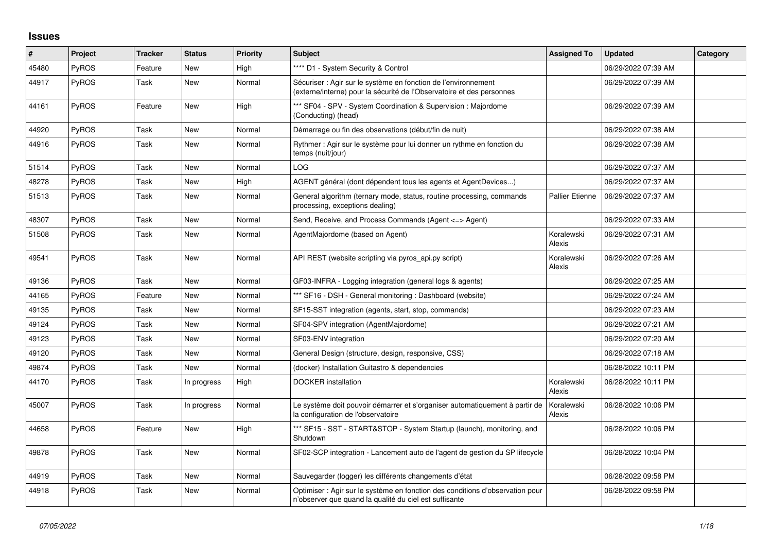## **Issues**

| $\sharp$ | Project      | <b>Tracker</b> | <b>Status</b> | Priority | <b>Subject</b>                                                                                                                          | <b>Assigned To</b>     | <b>Updated</b>      | Category |
|----------|--------------|----------------|---------------|----------|-----------------------------------------------------------------------------------------------------------------------------------------|------------------------|---------------------|----------|
| 45480    | <b>PyROS</b> | Feature        | <b>New</b>    | High     | **** D1 - System Security & Control                                                                                                     |                        | 06/29/2022 07:39 AM |          |
| 44917    | PyROS        | Task           | <b>New</b>    | Normal   | Sécuriser : Agir sur le système en fonction de l'environnement<br>(externe/interne) pour la sécurité de l'Observatoire et des personnes |                        | 06/29/2022 07:39 AM |          |
| 44161    | <b>PyROS</b> | Feature        | <b>New</b>    | High     | *** SF04 - SPV - System Coordination & Supervision : Majordome<br>(Conducting) (head)                                                   |                        | 06/29/2022 07:39 AM |          |
| 44920    | PyROS        | Task           | <b>New</b>    | Normal   | Démarrage ou fin des observations (début/fin de nuit)                                                                                   |                        | 06/29/2022 07:38 AM |          |
| 44916    | <b>PyROS</b> | Task           | New           | Normal   | Rythmer : Agir sur le système pour lui donner un rythme en fonction du<br>temps (nuit/jour)                                             |                        | 06/29/2022 07:38 AM |          |
| 51514    | <b>PyROS</b> | Task           | <b>New</b>    | Normal   | LOG.                                                                                                                                    |                        | 06/29/2022 07:37 AM |          |
| 48278    | PyROS        | Task           | <b>New</b>    | High     | AGENT général (dont dépendent tous les agents et AgentDevices)                                                                          |                        | 06/29/2022 07:37 AM |          |
| 51513    | <b>PyROS</b> | Task           | <b>New</b>    | Normal   | General algorithm (ternary mode, status, routine processing, commands<br>processing, exceptions dealing)                                | <b>Pallier Etienne</b> | 06/29/2022 07:37 AM |          |
| 48307    | <b>PyROS</b> | Task           | <b>New</b>    | Normal   | Send, Receive, and Process Commands (Agent <=> Agent)                                                                                   |                        | 06/29/2022 07:33 AM |          |
| 51508    | <b>PyROS</b> | Task           | New           | Normal   | AgentMajordome (based on Agent)                                                                                                         | Koralewski<br>Alexis   | 06/29/2022 07:31 AM |          |
| 49541    | PyROS        | Task           | New           | Normal   | API REST (website scripting via pyros_api.py script)                                                                                    | Koralewski<br>Alexis   | 06/29/2022 07:26 AM |          |
| 49136    | PyROS        | Task           | New           | Normal   | GF03-INFRA - Logging integration (general logs & agents)                                                                                |                        | 06/29/2022 07:25 AM |          |
| 44165    | <b>PyROS</b> | Feature        | <b>New</b>    | Normal   | *** SF16 - DSH - General monitoring: Dashboard (website)                                                                                |                        | 06/29/2022 07:24 AM |          |
| 49135    | PyROS        | Task           | <b>New</b>    | Normal   | SF15-SST integration (agents, start, stop, commands)                                                                                    |                        | 06/29/2022 07:23 AM |          |
| 49124    | PyROS        | Task           | <b>New</b>    | Normal   | SF04-SPV integration (AgentMajordome)                                                                                                   |                        | 06/29/2022 07:21 AM |          |
| 49123    | PyROS        | Task           | <b>New</b>    | Normal   | SF03-ENV integration                                                                                                                    |                        | 06/29/2022 07:20 AM |          |
| 49120    | PyROS        | Task           | <b>New</b>    | Normal   | General Design (structure, design, responsive, CSS)                                                                                     |                        | 06/29/2022 07:18 AM |          |
| 49874    | <b>PyROS</b> | Task           | New           | Normal   | (docker) Installation Guitastro & dependencies                                                                                          |                        | 06/28/2022 10:11 PM |          |
| 44170    | PyROS        | Task           | In progress   | High     | <b>DOCKER</b> installation                                                                                                              | Koralewski<br>Alexis   | 06/28/2022 10:11 PM |          |
| 45007    | <b>PyROS</b> | Task           | In progress   | Normal   | Le système doit pouvoir démarrer et s'organiser automatiquement à partir de<br>la configuration de l'observatoire                       | Koralewski<br>Alexis   | 06/28/2022 10:06 PM |          |
| 44658    | PyROS        | Feature        | New           | High     | *** SF15 - SST - START&STOP - System Startup (launch), monitoring, and<br>Shutdown                                                      |                        | 06/28/2022 10:06 PM |          |
| 49878    | PyROS        | Task           | New           | Normal   | SF02-SCP integration - Lancement auto de l'agent de gestion du SP lifecycle                                                             |                        | 06/28/2022 10:04 PM |          |
| 44919    | <b>PyROS</b> | Task           | <b>New</b>    | Normal   | Sauvegarder (logger) les différents changements d'état                                                                                  |                        | 06/28/2022 09:58 PM |          |
| 44918    | PyROS        | Task           | New           | Normal   | Optimiser : Agir sur le système en fonction des conditions d'observation pour<br>n'observer que quand la qualité du ciel est suffisante |                        | 06/28/2022 09:58 PM |          |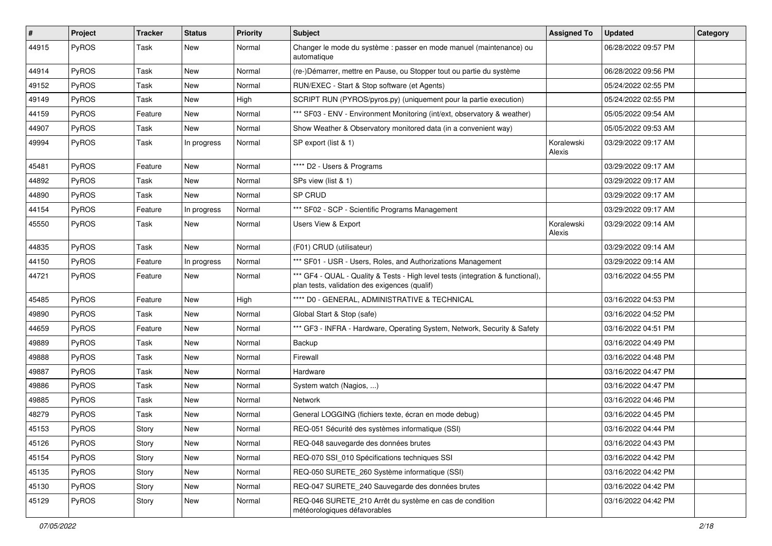| $\vert$ # | Project | <b>Tracker</b> | <b>Status</b> | <b>Priority</b> | <b>Subject</b>                                                                                                                   | <b>Assigned To</b>   | <b>Updated</b>      | Category |
|-----------|---------|----------------|---------------|-----------------|----------------------------------------------------------------------------------------------------------------------------------|----------------------|---------------------|----------|
| 44915     | PyROS   | Task           | New           | Normal          | Changer le mode du système : passer en mode manuel (maintenance) ou<br>automatique                                               |                      | 06/28/2022 09:57 PM |          |
| 44914     | PyROS   | Task           | New           | Normal          | (re-)Démarrer, mettre en Pause, ou Stopper tout ou partie du système                                                             |                      | 06/28/2022 09:56 PM |          |
| 49152     | PyROS   | Task           | New           | Normal          | RUN/EXEC - Start & Stop software (et Agents)                                                                                     |                      | 05/24/2022 02:55 PM |          |
| 49149     | PyROS   | Task           | New           | High            | SCRIPT RUN (PYROS/pyros.py) (uniquement pour la partie execution)                                                                |                      | 05/24/2022 02:55 PM |          |
| 44159     | PyROS   | Feature        | New           | Normal          | *** SF03 - ENV - Environment Monitoring (int/ext, observatory & weather)                                                         |                      | 05/05/2022 09:54 AM |          |
| 44907     | PyROS   | Task           | New           | Normal          | Show Weather & Observatory monitored data (in a convenient way)                                                                  |                      | 05/05/2022 09:53 AM |          |
| 49994     | PyROS   | Task           | In progress   | Normal          | SP export (list & 1)                                                                                                             | Koralewski<br>Alexis | 03/29/2022 09:17 AM |          |
| 45481     | PyROS   | Feature        | New           | Normal          | **** D2 - Users & Programs                                                                                                       |                      | 03/29/2022 09:17 AM |          |
| 44892     | PyROS   | Task           | New           | Normal          | SPs view (list & 1)                                                                                                              |                      | 03/29/2022 09:17 AM |          |
| 44890     | PyROS   | Task           | New           | Normal          | SP CRUD                                                                                                                          |                      | 03/29/2022 09:17 AM |          |
| 44154     | PyROS   | Feature        | In progress   | Normal          | *** SF02 - SCP - Scientific Programs Management                                                                                  |                      | 03/29/2022 09:17 AM |          |
| 45550     | PyROS   | Task           | New           | Normal          | Users View & Export                                                                                                              | Koralewski<br>Alexis | 03/29/2022 09:14 AM |          |
| 44835     | PyROS   | Task           | New           | Normal          | (F01) CRUD (utilisateur)                                                                                                         |                      | 03/29/2022 09:14 AM |          |
| 44150     | PyROS   | Feature        | In progress   | Normal          | *** SF01 - USR - Users, Roles, and Authorizations Management                                                                     |                      | 03/29/2022 09:14 AM |          |
| 44721     | PyROS   | Feature        | New           | Normal          | *** GF4 - QUAL - Quality & Tests - High level tests (integration & functional),<br>plan tests, validation des exigences (qualif) |                      | 03/16/2022 04:55 PM |          |
| 45485     | PyROS   | Feature        | New           | High            | **** D0 - GENERAL, ADMINISTRATIVE & TECHNICAL                                                                                    |                      | 03/16/2022 04:53 PM |          |
| 49890     | PyROS   | Task           | New           | Normal          | Global Start & Stop (safe)                                                                                                       |                      | 03/16/2022 04:52 PM |          |
| 44659     | PyROS   | Feature        | New           | Normal          | *** GF3 - INFRA - Hardware, Operating System, Network, Security & Safety                                                         |                      | 03/16/2022 04:51 PM |          |
| 49889     | PyROS   | Task           | New           | Normal          | Backup                                                                                                                           |                      | 03/16/2022 04:49 PM |          |
| 49888     | PyROS   | Task           | New           | Normal          | Firewall                                                                                                                         |                      | 03/16/2022 04:48 PM |          |
| 49887     | PyROS   | Task           | New           | Normal          | Hardware                                                                                                                         |                      | 03/16/2022 04:47 PM |          |
| 49886     | PyROS   | Task           | New           | Normal          | System watch (Nagios, )                                                                                                          |                      | 03/16/2022 04:47 PM |          |
| 49885     | PyROS   | Task           | New           | Normal          | Network                                                                                                                          |                      | 03/16/2022 04:46 PM |          |
| 48279     | PyROS   | Task           | New           | Normal          | General LOGGING (fichiers texte, écran en mode debug)                                                                            |                      | 03/16/2022 04:45 PM |          |
| 45153     | PyROS   | Story          | New           | Normal          | REQ-051 Sécurité des systèmes informatique (SSI)                                                                                 |                      | 03/16/2022 04:44 PM |          |
| 45126     | PyROS   | Story          | New           | Normal          | REQ-048 sauvegarde des données brutes                                                                                            |                      | 03/16/2022 04:43 PM |          |
| 45154     | PyROS   | Story          | New           | Normal          | REQ-070 SSI 010 Spécifications techniques SSI                                                                                    |                      | 03/16/2022 04:42 PM |          |
| 45135     | PyROS   | Story          | New           | Normal          | REQ-050 SURETE 260 Système informatique (SSI)                                                                                    |                      | 03/16/2022 04:42 PM |          |
| 45130     | PyROS   | Story          | New           | Normal          | REQ-047 SURETE_240 Sauvegarde des données brutes                                                                                 |                      | 03/16/2022 04:42 PM |          |
| 45129     | PyROS   | Story          | New           | Normal          | REQ-046 SURETE_210 Arrêt du système en cas de condition<br>météorologiques défavorables                                          |                      | 03/16/2022 04:42 PM |          |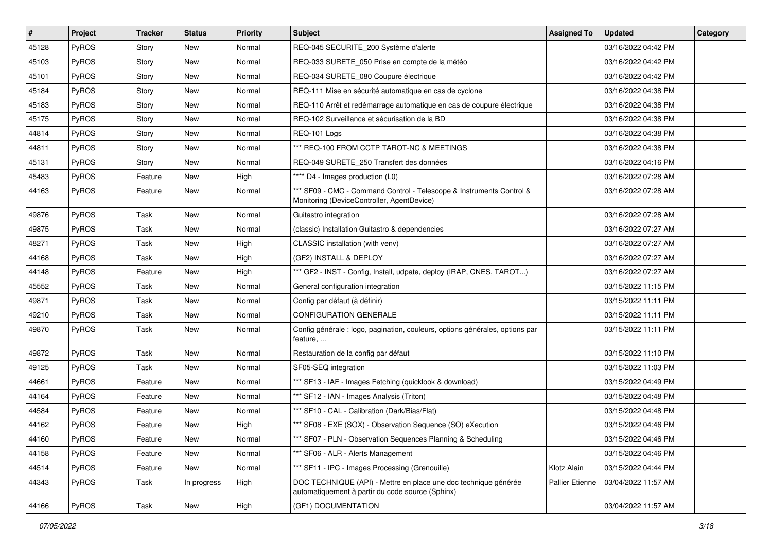| #     | Project      | <b>Tracker</b> | <b>Status</b> | <b>Priority</b> | <b>Subject</b>                                                                                                      | <b>Assigned To</b>     | <b>Updated</b>      | Category |
|-------|--------------|----------------|---------------|-----------------|---------------------------------------------------------------------------------------------------------------------|------------------------|---------------------|----------|
| 45128 | PyROS        | Story          | New           | Normal          | REQ-045 SECURITE_200 Système d'alerte                                                                               |                        | 03/16/2022 04:42 PM |          |
| 45103 | PyROS        | Story          | New           | Normal          | REQ-033 SURETE_050 Prise en compte de la météo                                                                      |                        | 03/16/2022 04:42 PM |          |
| 45101 | PyROS        | Story          | New           | Normal          | REQ-034 SURETE 080 Coupure électrique                                                                               |                        | 03/16/2022 04:42 PM |          |
| 45184 | PyROS        | Story          | New           | Normal          | REQ-111 Mise en sécurité automatique en cas de cyclone                                                              |                        | 03/16/2022 04:38 PM |          |
| 45183 | PyROS        | Story          | New           | Normal          | REQ-110 Arrêt et redémarrage automatique en cas de coupure électrique                                               |                        | 03/16/2022 04:38 PM |          |
| 45175 | PyROS        | Story          | New           | Normal          | REQ-102 Surveillance et sécurisation de la BD                                                                       |                        | 03/16/2022 04:38 PM |          |
| 44814 | PyROS        | Story          | New           | Normal          | REQ-101 Logs                                                                                                        |                        | 03/16/2022 04:38 PM |          |
| 44811 | <b>PyROS</b> | Story          | New           | Normal          | *** REQ-100 FROM CCTP TAROT-NC & MEETINGS                                                                           |                        | 03/16/2022 04:38 PM |          |
| 45131 | PyROS        | Story          | New           | Normal          | REQ-049 SURETE 250 Transfert des données                                                                            |                        | 03/16/2022 04:16 PM |          |
| 45483 | PyROS        | Feature        | New           | High            | **** D4 - Images production (L0)                                                                                    |                        | 03/16/2022 07:28 AM |          |
| 44163 | PyROS        | Feature        | New           | Normal          | *** SF09 - CMC - Command Control - Telescope & Instruments Control &<br>Monitoring (DeviceController, AgentDevice)  |                        | 03/16/2022 07:28 AM |          |
| 49876 | PyROS        | Task           | New           | Normal          | Guitastro integration                                                                                               |                        | 03/16/2022 07:28 AM |          |
| 49875 | PyROS        | Task           | New           | Normal          | (classic) Installation Guitastro & dependencies                                                                     |                        | 03/16/2022 07:27 AM |          |
| 48271 | PyROS        | Task           | New           | High            | CLASSIC installation (with venv)                                                                                    |                        | 03/16/2022 07:27 AM |          |
| 44168 | PyROS        | Task           | New           | High            | (GF2) INSTALL & DEPLOY                                                                                              |                        | 03/16/2022 07:27 AM |          |
| 44148 | PyROS        | Feature        | New           | High            | *** GF2 - INST - Config, Install, udpate, deploy (IRAP, CNES, TAROT)                                                |                        | 03/16/2022 07:27 AM |          |
| 45552 | PyROS        | Task           | New           | Normal          | General configuration integration                                                                                   |                        | 03/15/2022 11:15 PM |          |
| 49871 | PyROS        | Task           | New           | Normal          | Config par défaut (à définir)                                                                                       |                        | 03/15/2022 11:11 PM |          |
| 49210 | PyROS        | Task           | New           | Normal          | <b>CONFIGURATION GENERALE</b>                                                                                       |                        | 03/15/2022 11:11 PM |          |
| 49870 | <b>PyROS</b> | Task           | New           | Normal          | Config générale : logo, pagination, couleurs, options générales, options par<br>feature,                            |                        | 03/15/2022 11:11 PM |          |
| 49872 | PyROS        | Task           | <b>New</b>    | Normal          | Restauration de la config par défaut                                                                                |                        | 03/15/2022 11:10 PM |          |
| 49125 | PyROS        | Task           | New           | Normal          | SF05-SEQ integration                                                                                                |                        | 03/15/2022 11:03 PM |          |
| 44661 | PyROS        | Feature        | New           | Normal          | *** SF13 - IAF - Images Fetching (quicklook & download)                                                             |                        | 03/15/2022 04:49 PM |          |
| 44164 | PyROS        | Feature        | New           | Normal          | *** SF12 - IAN - Images Analysis (Triton)                                                                           |                        | 03/15/2022 04:48 PM |          |
| 44584 | PyROS        | Feature        | New           | Normal          | *** SF10 - CAL - Calibration (Dark/Bias/Flat)                                                                       |                        | 03/15/2022 04:48 PM |          |
| 44162 | PyROS        | Feature        | New           | High            | *** SF08 - EXE (SOX) - Observation Sequence (SO) eXecution                                                          |                        | 03/15/2022 04:46 PM |          |
| 44160 | <b>PyROS</b> | Feature        | New           | Normal          | *** SF07 - PLN - Observation Sequences Planning & Scheduling                                                        |                        | 03/15/2022 04:46 PM |          |
| 44158 | PyROS        | Feature        | New           | Normal          | *** SF06 - ALR - Alerts Management                                                                                  |                        | 03/15/2022 04:46 PM |          |
| 44514 | PyROS        | Feature        | New           | Normal          | *** SF11 - IPC - Images Processing (Grenouille)                                                                     | Klotz Alain            | 03/15/2022 04:44 PM |          |
| 44343 | PyROS        | Task           | In progress   | High            | DOC TECHNIQUE (API) - Mettre en place une doc technique générée<br>automatiquement à partir du code source (Sphinx) | <b>Pallier Etienne</b> | 03/04/2022 11:57 AM |          |
| 44166 | PyROS        | Task           | New           | High            | (GF1) DOCUMENTATION                                                                                                 |                        | 03/04/2022 11:57 AM |          |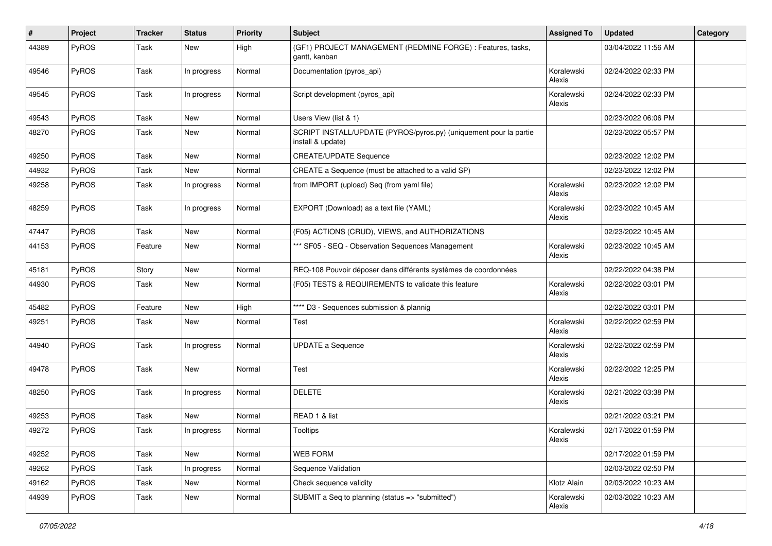| #     | Project | <b>Tracker</b> | <b>Status</b> | <b>Priority</b> | <b>Subject</b>                                                                         | <b>Assigned To</b>   | <b>Updated</b>      | Category |
|-------|---------|----------------|---------------|-----------------|----------------------------------------------------------------------------------------|----------------------|---------------------|----------|
| 44389 | PyROS   | Task           | New           | High            | (GF1) PROJECT MANAGEMENT (REDMINE FORGE) : Features, tasks,<br>gantt, kanban           |                      | 03/04/2022 11:56 AM |          |
| 49546 | PyROS   | Task           | In progress   | Normal          | Documentation (pyros_api)                                                              | Koralewski<br>Alexis | 02/24/2022 02:33 PM |          |
| 49545 | PyROS   | Task           | In progress   | Normal          | Script development (pyros_api)                                                         | Koralewski<br>Alexis | 02/24/2022 02:33 PM |          |
| 49543 | PyROS   | Task           | New           | Normal          | Users View (list & 1)                                                                  |                      | 02/23/2022 06:06 PM |          |
| 48270 | PyROS   | Task           | New           | Normal          | SCRIPT INSTALL/UPDATE (PYROS/pyros.py) (uniquement pour la partie<br>install & update) |                      | 02/23/2022 05:57 PM |          |
| 49250 | PyROS   | Task           | New           | Normal          | <b>CREATE/UPDATE Sequence</b>                                                          |                      | 02/23/2022 12:02 PM |          |
| 44932 | PyROS   | Task           | New           | Normal          | CREATE a Sequence (must be attached to a valid SP)                                     |                      | 02/23/2022 12:02 PM |          |
| 49258 | PyROS   | Task           | In progress   | Normal          | from IMPORT (upload) Seq (from yaml file)                                              | Koralewski<br>Alexis | 02/23/2022 12:02 PM |          |
| 48259 | PyROS   | Task           | In progress   | Normal          | EXPORT (Download) as a text file (YAML)                                                | Koralewski<br>Alexis | 02/23/2022 10:45 AM |          |
| 47447 | PyROS   | Task           | <b>New</b>    | Normal          | (F05) ACTIONS (CRUD), VIEWS, and AUTHORIZATIONS                                        |                      | 02/23/2022 10:45 AM |          |
| 44153 | PyROS   | Feature        | New           | Normal          | *** SF05 - SEQ - Observation Sequences Management                                      | Koralewski<br>Alexis | 02/23/2022 10:45 AM |          |
| 45181 | PyROS   | Story          | New           | Normal          | REQ-108 Pouvoir déposer dans différents systèmes de coordonnées                        |                      | 02/22/2022 04:38 PM |          |
| 44930 | PyROS   | Task           | New           | Normal          | (F05) TESTS & REQUIREMENTS to validate this feature                                    | Koralewski<br>Alexis | 02/22/2022 03:01 PM |          |
| 45482 | PyROS   | Feature        | New           | High            | **** D3 - Sequences submission & plannig                                               |                      | 02/22/2022 03:01 PM |          |
| 49251 | PyROS   | Task           | New           | Normal          | Test                                                                                   | Koralewski<br>Alexis | 02/22/2022 02:59 PM |          |
| 44940 | PyROS   | Task           | In progress   | Normal          | <b>UPDATE a Sequence</b>                                                               | Koralewski<br>Alexis | 02/22/2022 02:59 PM |          |
| 49478 | PyROS   | Task           | New           | Normal          | Test                                                                                   | Koralewski<br>Alexis | 02/22/2022 12:25 PM |          |
| 48250 | PyROS   | Task           | In progress   | Normal          | <b>DELETE</b>                                                                          | Koralewski<br>Alexis | 02/21/2022 03:38 PM |          |
| 49253 | PyROS   | Task           | New           | Normal          | READ 1 & list                                                                          |                      | 02/21/2022 03:21 PM |          |
| 49272 | PyROS   | Task           | In progress   | Normal          | Tooltips                                                                               | Koralewski<br>Alexis | 02/17/2022 01:59 PM |          |
| 49252 | PyROS   | Task           | New           | Normal          | <b>WEB FORM</b>                                                                        |                      | 02/17/2022 01:59 PM |          |
| 49262 | PyROS   | Task           | In progress   | Normal          | Sequence Validation                                                                    |                      | 02/03/2022 02:50 PM |          |
| 49162 | PyROS   | Task           | New           | Normal          | Check sequence validity                                                                | Klotz Alain          | 02/03/2022 10:23 AM |          |
| 44939 | PyROS   | Task           | New           | Normal          | SUBMIT a Seq to planning (status => "submitted")                                       | Koralewski<br>Alexis | 02/03/2022 10:23 AM |          |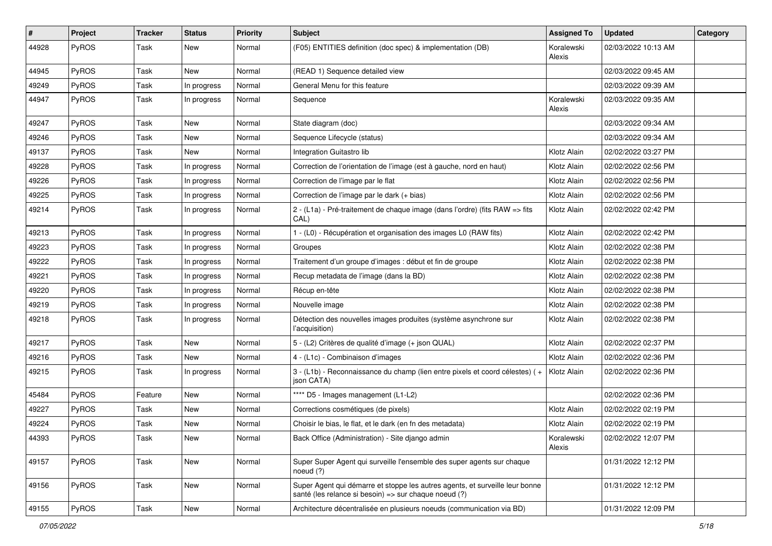| #     | Project      | <b>Tracker</b> | <b>Status</b> | <b>Priority</b> | <b>Subject</b>                                                                                                                        | <b>Assigned To</b>   | <b>Updated</b>      | Category |
|-------|--------------|----------------|---------------|-----------------|---------------------------------------------------------------------------------------------------------------------------------------|----------------------|---------------------|----------|
| 44928 | PyROS        | Task           | New           | Normal          | (F05) ENTITIES definition (doc spec) & implementation (DB)                                                                            | Koralewski<br>Alexis | 02/03/2022 10:13 AM |          |
| 44945 | PyROS        | Task           | New           | Normal          | (READ 1) Sequence detailed view                                                                                                       |                      | 02/03/2022 09:45 AM |          |
| 49249 | PyROS        | Task           | In progress   | Normal          | General Menu for this feature                                                                                                         |                      | 02/03/2022 09:39 AM |          |
| 44947 | PyROS        | Task           | In progress   | Normal          | Sequence                                                                                                                              | Koralewski<br>Alexis | 02/03/2022 09:35 AM |          |
| 49247 | PyROS        | Task           | New           | Normal          | State diagram (doc)                                                                                                                   |                      | 02/03/2022 09:34 AM |          |
| 49246 | PyROS        | Task           | New           | Normal          | Sequence Lifecycle (status)                                                                                                           |                      | 02/03/2022 09:34 AM |          |
| 49137 | PyROS        | Task           | New           | Normal          | Integration Guitastro lib                                                                                                             | Klotz Alain          | 02/02/2022 03:27 PM |          |
| 49228 | PyROS        | Task           | In progress   | Normal          | Correction de l'orientation de l'image (est à gauche, nord en haut)                                                                   | Klotz Alain          | 02/02/2022 02:56 PM |          |
| 49226 | PyROS        | Task           | In progress   | Normal          | Correction de l'image par le flat                                                                                                     | Klotz Alain          | 02/02/2022 02:56 PM |          |
| 49225 | PyROS        | Task           | In progress   | Normal          | Correction de l'image par le dark (+ bias)                                                                                            | Klotz Alain          | 02/02/2022 02:56 PM |          |
| 49214 | PyROS        | Task           | In progress   | Normal          | 2 - (L1a) - Pré-traitement de chaque image (dans l'ordre) (fits RAW => fits<br>CAL)                                                   | Klotz Alain          | 02/02/2022 02:42 PM |          |
| 49213 | PyROS        | Task           | In progress   | Normal          | 1 - (L0) - Récupération et organisation des images L0 (RAW fits)                                                                      | Klotz Alain          | 02/02/2022 02:42 PM |          |
| 49223 | <b>PyROS</b> | Task           | In progress   | Normal          | Groupes                                                                                                                               | Klotz Alain          | 02/02/2022 02:38 PM |          |
| 49222 | PyROS        | Task           | In progress   | Normal          | Traitement d'un groupe d'images : début et fin de groupe                                                                              | Klotz Alain          | 02/02/2022 02:38 PM |          |
| 49221 | PyROS        | Task           | In progress   | Normal          | Recup metadata de l'image (dans la BD)                                                                                                | Klotz Alain          | 02/02/2022 02:38 PM |          |
| 49220 | PyROS        | Task           | In progress   | Normal          | Récup en-tête                                                                                                                         | Klotz Alain          | 02/02/2022 02:38 PM |          |
| 49219 | PyROS        | Task           | In progress   | Normal          | Nouvelle image                                                                                                                        | Klotz Alain          | 02/02/2022 02:38 PM |          |
| 49218 | PyROS        | Task           | In progress   | Normal          | Détection des nouvelles images produites (système asynchrone sur<br>l'acquisition)                                                    | Klotz Alain          | 02/02/2022 02:38 PM |          |
| 49217 | PyROS        | Task           | New           | Normal          | 5 - (L2) Critères de qualité d'image (+ json QUAL)                                                                                    | Klotz Alain          | 02/02/2022 02:37 PM |          |
| 49216 | <b>PyROS</b> | Task           | New           | Normal          | 4 - (L1c) - Combinaison d'images                                                                                                      | Klotz Alain          | 02/02/2022 02:36 PM |          |
| 49215 | <b>PyROS</b> | Task           | In progress   | Normal          | 3 - (L1b) - Reconnaissance du champ (lien entre pixels et coord célestes) (+<br>json CATA)                                            | Klotz Alain          | 02/02/2022 02:36 PM |          |
| 45484 | PyROS        | Feature        | New           | Normal          | **** D5 - Images management (L1-L2)                                                                                                   |                      | 02/02/2022 02:36 PM |          |
| 49227 | PyROS        | Task           | New           | Normal          | Corrections cosmétiques (de pixels)                                                                                                   | Klotz Alain          | 02/02/2022 02:19 PM |          |
| 49224 | PyROS        | Task           | New           | Normal          | Choisir le bias, le flat, et le dark (en fn des metadata)                                                                             | Klotz Alain          | 02/02/2022 02:19 PM |          |
| 44393 | PyROS        | Task           | <b>New</b>    | Normal          | Back Office (Administration) - Site django admin                                                                                      | Koralewski<br>Alexis | 02/02/2022 12:07 PM |          |
| 49157 | PyROS        | Task           | New           | Normal          | Super Super Agent qui surveille l'ensemble des super agents sur chaque<br>noeud (?)                                                   |                      | 01/31/2022 12:12 PM |          |
| 49156 | PyROS        | Task           | New           | Normal          | Super Agent qui démarre et stoppe les autres agents, et surveille leur bonne<br>santé (les relance si besoin) => sur chaque noeud (?) |                      | 01/31/2022 12:12 PM |          |
| 49155 | PyROS        | Task           | New           | Normal          | Architecture décentralisée en plusieurs noeuds (communication via BD)                                                                 |                      | 01/31/2022 12:09 PM |          |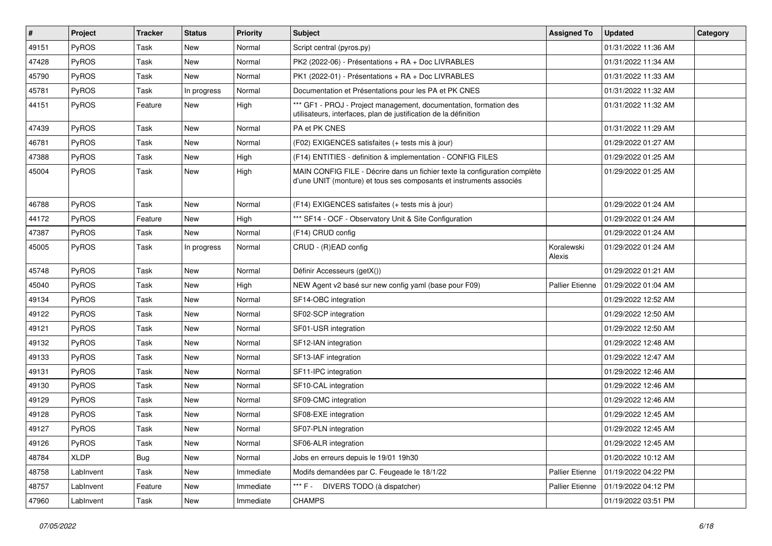| #     | Project     | <b>Tracker</b> | <b>Status</b> | <b>Priority</b> | Subject                                                                                                                                           | <b>Assigned To</b>     | <b>Updated</b>      | Category |
|-------|-------------|----------------|---------------|-----------------|---------------------------------------------------------------------------------------------------------------------------------------------------|------------------------|---------------------|----------|
| 49151 | PyROS       | Task           | New           | Normal          | Script central (pyros.py)                                                                                                                         |                        | 01/31/2022 11:36 AM |          |
| 47428 | PyROS       | Task           | New           | Normal          | PK2 (2022-06) - Présentations + RA + Doc LIVRABLES                                                                                                |                        | 01/31/2022 11:34 AM |          |
| 45790 | PyROS       | Task           | New           | Normal          | PK1 (2022-01) - Présentations + RA + Doc LIVRABLES                                                                                                |                        | 01/31/2022 11:33 AM |          |
| 45781 | PyROS       | Task           | In progress   | Normal          | Documentation et Présentations pour les PA et PK CNES                                                                                             |                        | 01/31/2022 11:32 AM |          |
| 44151 | PyROS       | Feature        | New           | High            | *** GF1 - PROJ - Project management, documentation, formation des<br>utilisateurs, interfaces, plan de justification de la définition             |                        | 01/31/2022 11:32 AM |          |
| 47439 | PyROS       | Task           | New           | Normal          | PA et PK CNES                                                                                                                                     |                        | 01/31/2022 11:29 AM |          |
| 46781 | PyROS       | Task           | New           | Normal          | (F02) EXIGENCES satisfaites (+ tests mis à jour)                                                                                                  |                        | 01/29/2022 01:27 AM |          |
| 47388 | PyROS       | Task           | New           | High            | (F14) ENTITIES - definition & implementation - CONFIG FILES                                                                                       |                        | 01/29/2022 01:25 AM |          |
| 45004 | PyROS       | Task           | New           | High            | MAIN CONFIG FILE - Décrire dans un fichier texte la configuration complète<br>d'une UNIT (monture) et tous ses composants et instruments associés |                        | 01/29/2022 01:25 AM |          |
| 46788 | PyROS       | Task           | New           | Normal          | (F14) EXIGENCES satisfaites (+ tests mis à jour)                                                                                                  |                        | 01/29/2022 01:24 AM |          |
| 44172 | PyROS       | Feature        | New           | High            | *** SF14 - OCF - Observatory Unit & Site Configuration                                                                                            |                        | 01/29/2022 01:24 AM |          |
| 47387 | PyROS       | Task           | New           | Normal          | (F14) CRUD config                                                                                                                                 |                        | 01/29/2022 01:24 AM |          |
| 45005 | PyROS       | Task           | In progress   | Normal          | CRUD - (R)EAD config                                                                                                                              | Koralewski<br>Alexis   | 01/29/2022 01:24 AM |          |
| 45748 | PyROS       | Task           | New           | Normal          | Définir Accesseurs (getX())                                                                                                                       |                        | 01/29/2022 01:21 AM |          |
| 45040 | PyROS       | Task           | New           | High            | NEW Agent v2 basé sur new config yaml (base pour F09)                                                                                             | <b>Pallier Etienne</b> | 01/29/2022 01:04 AM |          |
| 49134 | PyROS       | Task           | New           | Normal          | SF14-OBC integration                                                                                                                              |                        | 01/29/2022 12:52 AM |          |
| 49122 | PyROS       | Task           | New           | Normal          | SF02-SCP integration                                                                                                                              |                        | 01/29/2022 12:50 AM |          |
| 49121 | PyROS       | Task           | New           | Normal          | SF01-USR integration                                                                                                                              |                        | 01/29/2022 12:50 AM |          |
| 49132 | PyROS       | Task           | New           | Normal          | SF12-IAN integration                                                                                                                              |                        | 01/29/2022 12:48 AM |          |
| 49133 | PyROS       | Task           | New           | Normal          | SF13-IAF integration                                                                                                                              |                        | 01/29/2022 12:47 AM |          |
| 49131 | PyROS       | Task           | New           | Normal          | SF11-IPC integration                                                                                                                              |                        | 01/29/2022 12:46 AM |          |
| 49130 | PyROS       | Task           | New           | Normal          | SF10-CAL integration                                                                                                                              |                        | 01/29/2022 12:46 AM |          |
| 49129 | PyROS       | Task           | New           | Normal          | SF09-CMC integration                                                                                                                              |                        | 01/29/2022 12:46 AM |          |
| 49128 | PyROS       | Task           | New           | Normal          | SF08-EXE integration                                                                                                                              |                        | 01/29/2022 12:45 AM |          |
| 49127 | PyROS       | Task           | New           | Normal          | SF07-PLN integration                                                                                                                              |                        | 01/29/2022 12:45 AM |          |
| 49126 | PyROS       | Task           | New           | Normal          | SF06-ALR integration                                                                                                                              |                        | 01/29/2022 12:45 AM |          |
| 48784 | <b>XLDP</b> | Bug            | New           | Normal          | Jobs en erreurs depuis le 19/01 19h30                                                                                                             |                        | 01/20/2022 10:12 AM |          |
| 48758 | LabInvent   | Task           | New           | Immediate       | Modifs demandées par C. Feugeade le 18/1/22                                                                                                       | <b>Pallier Etienne</b> | 01/19/2022 04:22 PM |          |
| 48757 | LabInvent   | Feature        | New           | Immediate       | *** F -<br>DIVERS TODO (à dispatcher)                                                                                                             | Pallier Etienne        | 01/19/2022 04:12 PM |          |
| 47960 | LabInvent   | Task           | New           | Immediate       | <b>CHAMPS</b>                                                                                                                                     |                        | 01/19/2022 03:51 PM |          |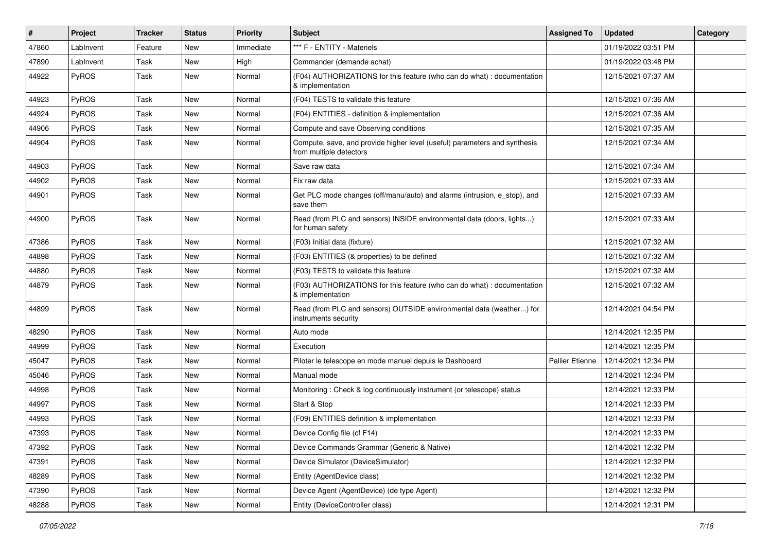| $\sharp$ | Project      | <b>Tracker</b> | <b>Status</b> | <b>Priority</b> | <b>Subject</b>                                                                                       | <b>Assigned To</b>     | <b>Updated</b>      | Category |
|----------|--------------|----------------|---------------|-----------------|------------------------------------------------------------------------------------------------------|------------------------|---------------------|----------|
| 47860    | LabInvent    | Feature        | New           | Immediate       | *** F - ENTITY - Materiels                                                                           |                        | 01/19/2022 03:51 PM |          |
| 47890    | LabInvent    | Task           | New           | High            | Commander (demande achat)                                                                            |                        | 01/19/2022 03:48 PM |          |
| 44922    | PyROS        | Task           | New           | Normal          | (F04) AUTHORIZATIONS for this feature (who can do what) : documentation<br>& implementation          |                        | 12/15/2021 07:37 AM |          |
| 44923    | PyROS        | Task           | New           | Normal          | (F04) TESTS to validate this feature                                                                 |                        | 12/15/2021 07:36 AM |          |
| 44924    | PyROS        | Task           | New           | Normal          | (F04) ENTITIES - definition & implementation                                                         |                        | 12/15/2021 07:36 AM |          |
| 44906    | PyROS        | Task           | New           | Normal          | Compute and save Observing conditions                                                                |                        | 12/15/2021 07:35 AM |          |
| 44904    | PyROS        | Task           | New           | Normal          | Compute, save, and provide higher level (useful) parameters and synthesis<br>from multiple detectors |                        | 12/15/2021 07:34 AM |          |
| 44903    | PyROS        | Task           | New           | Normal          | Save raw data                                                                                        |                        | 12/15/2021 07:34 AM |          |
| 44902    | PyROS        | Task           | New           | Normal          | Fix raw data                                                                                         |                        | 12/15/2021 07:33 AM |          |
| 44901    | <b>PyROS</b> | Task           | New           | Normal          | Get PLC mode changes (off/manu/auto) and alarms (intrusion, e_stop), and<br>save them                |                        | 12/15/2021 07:33 AM |          |
| 44900    | PyROS        | Task           | New           | Normal          | Read (from PLC and sensors) INSIDE environmental data (doors, lights)<br>for human safety            |                        | 12/15/2021 07:33 AM |          |
| 47386    | PyROS        | Task           | New           | Normal          | (F03) Initial data (fixture)                                                                         |                        | 12/15/2021 07:32 AM |          |
| 44898    | PyROS        | Task           | New           | Normal          | (F03) ENTITIES (& properties) to be defined                                                          |                        | 12/15/2021 07:32 AM |          |
| 44880    | PyROS        | Task           | New           | Normal          | (F03) TESTS to validate this feature                                                                 |                        | 12/15/2021 07:32 AM |          |
| 44879    | PyROS        | Task           | New           | Normal          | (F03) AUTHORIZATIONS for this feature (who can do what) : documentation<br>& implementation          |                        | 12/15/2021 07:32 AM |          |
| 44899    | PyROS        | Task           | <b>New</b>    | Normal          | Read (from PLC and sensors) OUTSIDE environmental data (weather) for<br>instruments security         |                        | 12/14/2021 04:54 PM |          |
| 48290    | PyROS        | Task           | <b>New</b>    | Normal          | Auto mode                                                                                            |                        | 12/14/2021 12:35 PM |          |
| 44999    | PyROS        | Task           | New           | Normal          | Execution                                                                                            |                        | 12/14/2021 12:35 PM |          |
| 45047    | PyROS        | Task           | New           | Normal          | Piloter le telescope en mode manuel depuis le Dashboard                                              | <b>Pallier Etienne</b> | 12/14/2021 12:34 PM |          |
| 45046    | PyROS        | Task           | New           | Normal          | Manual mode                                                                                          |                        | 12/14/2021 12:34 PM |          |
| 44998    | PyROS        | Task           | New           | Normal          | Monitoring: Check & log continuously instrument (or telescope) status                                |                        | 12/14/2021 12:33 PM |          |
| 44997    | <b>PyROS</b> | Task           | New           | Normal          | Start & Stop                                                                                         |                        | 12/14/2021 12:33 PM |          |
| 44993    | PyROS        | Task           | New           | Normal          | (F09) ENTITIES definition & implementation                                                           |                        | 12/14/2021 12:33 PM |          |
| 47393    | PyROS        | Task           | <b>New</b>    | Normal          | Device Config file (cf F14)                                                                          |                        | 12/14/2021 12:33 PM |          |
| 47392    | PyROS        | Task           | New           | Normal          | Device Commands Grammar (Generic & Native)                                                           |                        | 12/14/2021 12:32 PM |          |
| 47391    | PyROS        | Task           | New           | Normal          | Device Simulator (DeviceSimulator)                                                                   |                        | 12/14/2021 12:32 PM |          |
| 48289    | PyROS        | Task           | New           | Normal          | Entity (AgentDevice class)                                                                           |                        | 12/14/2021 12:32 PM |          |
| 47390    | PyROS        | Task           | New           | Normal          | Device Agent (AgentDevice) (de type Agent)                                                           |                        | 12/14/2021 12:32 PM |          |
| 48288    | PyROS        | Task           | New           | Normal          | Entity (DeviceController class)                                                                      |                        | 12/14/2021 12:31 PM |          |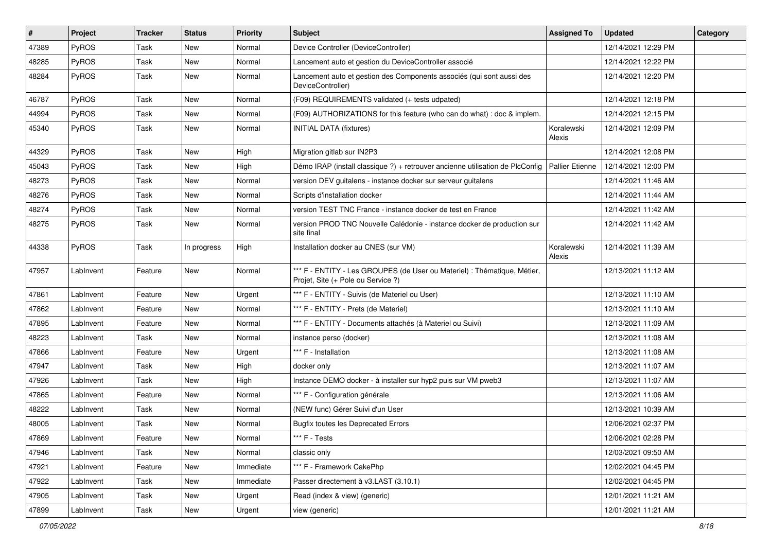| #     | Project      | <b>Tracker</b> | <b>Status</b> | <b>Priority</b> | <b>Subject</b>                                                                                                 | <b>Assigned To</b>     | <b>Updated</b>      | Category |
|-------|--------------|----------------|---------------|-----------------|----------------------------------------------------------------------------------------------------------------|------------------------|---------------------|----------|
| 47389 | PyROS        | Task           | New           | Normal          | Device Controller (DeviceController)                                                                           |                        | 12/14/2021 12:29 PM |          |
| 48285 | PyROS        | Task           | New           | Normal          | Lancement auto et gestion du DeviceController associé                                                          |                        | 12/14/2021 12:22 PM |          |
| 48284 | PyROS        | Task           | New           | Normal          | Lancement auto et gestion des Components associés (qui sont aussi des<br>DeviceController)                     |                        | 12/14/2021 12:20 PM |          |
| 46787 | PyROS        | Task           | New           | Normal          | (F09) REQUIREMENTS validated (+ tests udpated)                                                                 |                        | 12/14/2021 12:18 PM |          |
| 44994 | PyROS        | Task           | New           | Normal          | (F09) AUTHORIZATIONS for this feature (who can do what) : doc & implem.                                        |                        | 12/14/2021 12:15 PM |          |
| 45340 | PyROS        | Task           | New           | Normal          | <b>INITIAL DATA (fixtures)</b>                                                                                 | Koralewski<br>Alexis   | 12/14/2021 12:09 PM |          |
| 44329 | PyROS        | Task           | New           | High            | Migration gitlab sur IN2P3                                                                                     |                        | 12/14/2021 12:08 PM |          |
| 45043 | PyROS        | Task           | New           | High            | Démo IRAP (install classique ?) + retrouver ancienne utilisation de PlcConfig                                  | <b>Pallier Etienne</b> | 12/14/2021 12:00 PM |          |
| 48273 | <b>PyROS</b> | Task           | New           | Normal          | version DEV guitalens - instance docker sur serveur guitalens                                                  |                        | 12/14/2021 11:46 AM |          |
| 48276 | PyROS        | Task           | New           | Normal          | Scripts d'installation docker                                                                                  |                        | 12/14/2021 11:44 AM |          |
| 48274 | PyROS        | Task           | New           | Normal          | version TEST TNC France - instance docker de test en France                                                    |                        | 12/14/2021 11:42 AM |          |
| 48275 | PyROS        | Task           | New           | Normal          | version PROD TNC Nouvelle Calédonie - instance docker de production sur<br>site final                          |                        | 12/14/2021 11:42 AM |          |
| 44338 | PyROS        | Task           | In progress   | High            | Installation docker au CNES (sur VM)                                                                           | Koralewski<br>Alexis   | 12/14/2021 11:39 AM |          |
| 47957 | LabInvent    | Feature        | New           | Normal          | *** F - ENTITY - Les GROUPES (de User ou Materiel) : Thématique, Métier,<br>Projet, Site (+ Pole ou Service ?) |                        | 12/13/2021 11:12 AM |          |
| 47861 | LabInvent    | Feature        | New           | Urgent          | *** F - ENTITY - Suivis (de Materiel ou User)                                                                  |                        | 12/13/2021 11:10 AM |          |
| 47862 | LabInvent    | Feature        | New           | Normal          | *** F - ENTITY - Prets (de Materiel)                                                                           |                        | 12/13/2021 11:10 AM |          |
| 47895 | LabInvent    | Feature        | New           | Normal          | *** F - ENTITY - Documents attachés (à Materiel ou Suivi)                                                      |                        | 12/13/2021 11:09 AM |          |
| 48223 | LabInvent    | Task           | <b>New</b>    | Normal          | instance perso (docker)                                                                                        |                        | 12/13/2021 11:08 AM |          |
| 47866 | LabInvent    | Feature        | New           | Urgent          | *** F - Installation                                                                                           |                        | 12/13/2021 11:08 AM |          |
| 47947 | LabInvent    | Task           | New           | High            | docker only                                                                                                    |                        | 12/13/2021 11:07 AM |          |
| 47926 | LabInvent    | Task           | New           | High            | Instance DEMO docker - à installer sur hyp2 puis sur VM pweb3                                                  |                        | 12/13/2021 11:07 AM |          |
| 47865 | LabInvent    | Feature        | New           | Normal          | *** F - Configuration générale                                                                                 |                        | 12/13/2021 11:06 AM |          |
| 48222 | LabInvent    | Task           | <b>New</b>    | Normal          | (NEW func) Gérer Suivi d'un User                                                                               |                        | 12/13/2021 10:39 AM |          |
| 48005 | LabInvent    | Task           | New           | Normal          | <b>Bugfix toutes les Deprecated Errors</b>                                                                     |                        | 12/06/2021 02:37 PM |          |
| 47869 | LabInvent    | Feature        | New           | Normal          | *** F - Tests                                                                                                  |                        | 12/06/2021 02:28 PM |          |
| 47946 | LabInvent    | Task           | New           | Normal          | classic only                                                                                                   |                        | 12/03/2021 09:50 AM |          |
| 47921 | LabInvent    | Feature        | New           | Immediate       | *** F - Framework CakePhp                                                                                      |                        | 12/02/2021 04:45 PM |          |
| 47922 | LabInvent    | Task           | New           | Immediate       | Passer directement à v3.LAST (3.10.1)                                                                          |                        | 12/02/2021 04:45 PM |          |
| 47905 | LabInvent    | Task           | New           | Urgent          | Read (index & view) (generic)                                                                                  |                        | 12/01/2021 11:21 AM |          |
| 47899 | LabInvent    | Task           | New           | Urgent          | view (generic)                                                                                                 |                        | 12/01/2021 11:21 AM |          |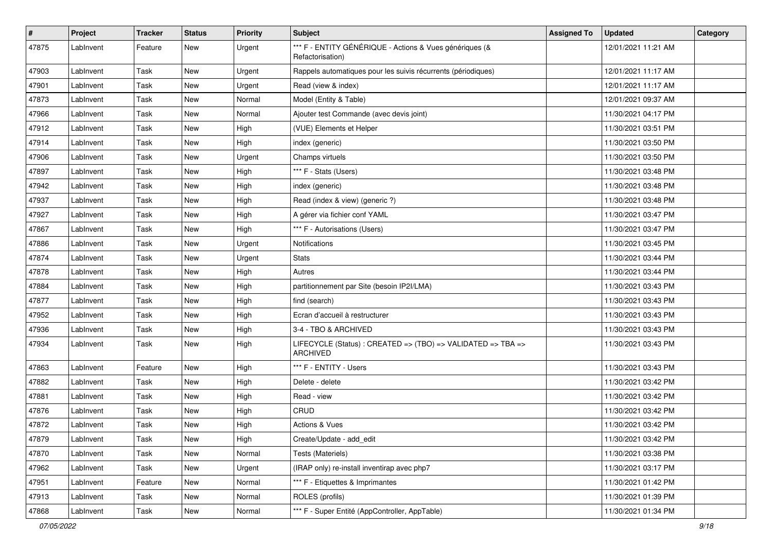| #     | Project   | <b>Tracker</b> | <b>Status</b> | <b>Priority</b> | Subject                                                                     | <b>Assigned To</b> | <b>Updated</b>      | Category |
|-------|-----------|----------------|---------------|-----------------|-----------------------------------------------------------------------------|--------------------|---------------------|----------|
| 47875 | LabInvent | Feature        | New           | Urgent          | *** F - ENTITY GÉNÉRIQUE - Actions & Vues génériques (&<br>Refactorisation) |                    | 12/01/2021 11:21 AM |          |
| 47903 | LabInvent | Task           | New           | Urgent          | Rappels automatiques pour les suivis récurrents (périodiques)               |                    | 12/01/2021 11:17 AM |          |
| 47901 | LabInvent | Task           | New           | Urgent          | Read (view & index)                                                         |                    | 12/01/2021 11:17 AM |          |
| 47873 | LabInvent | Task           | <b>New</b>    | Normal          | Model (Entity & Table)                                                      |                    | 12/01/2021 09:37 AM |          |
| 47966 | LabInvent | Task           | New           | Normal          | Ajouter test Commande (avec devis joint)                                    |                    | 11/30/2021 04:17 PM |          |
| 47912 | LabInvent | Task           | New           | High            | (VUE) Elements et Helper                                                    |                    | 11/30/2021 03:51 PM |          |
| 47914 | LabInvent | Task           | New           | High            | index (generic)                                                             |                    | 11/30/2021 03:50 PM |          |
| 47906 | LabInvent | Task           | New           | Urgent          | Champs virtuels                                                             |                    | 11/30/2021 03:50 PM |          |
| 47897 | LabInvent | Task           | New           | High            | *** F - Stats (Users)                                                       |                    | 11/30/2021 03:48 PM |          |
| 47942 | LabInvent | Task           | New           | High            | index (generic)                                                             |                    | 11/30/2021 03:48 PM |          |
| 47937 | LabInvent | Task           | <b>New</b>    | High            | Read (index & view) (generic ?)                                             |                    | 11/30/2021 03:48 PM |          |
| 47927 | LabInvent | Task           | New           | High            | A gérer via fichier conf YAML                                               |                    | 11/30/2021 03:47 PM |          |
| 47867 | LabInvent | Task           | New           | High            | *** F - Autorisations (Users)                                               |                    | 11/30/2021 03:47 PM |          |
| 47886 | LabInvent | Task           | New           | Urgent          | Notifications                                                               |                    | 11/30/2021 03:45 PM |          |
| 47874 | LabInvent | Task           | <b>New</b>    | Urgent          | Stats                                                                       |                    | 11/30/2021 03:44 PM |          |
| 47878 | LabInvent | Task           | <b>New</b>    | High            | Autres                                                                      |                    | 11/30/2021 03:44 PM |          |
| 47884 | LabInvent | Task           | New           | High            | partitionnement par Site (besoin IP2I/LMA)                                  |                    | 11/30/2021 03:43 PM |          |
| 47877 | LabInvent | Task           | New           | High            | find (search)                                                               |                    | 11/30/2021 03:43 PM |          |
| 47952 | LabInvent | Task           | New           | High            | Ecran d'accueil à restructurer                                              |                    | 11/30/2021 03:43 PM |          |
| 47936 | LabInvent | Task           | New           | High            | 3-4 - TBO & ARCHIVED                                                        |                    | 11/30/2021 03:43 PM |          |
| 47934 | LabInvent | Task           | New           | High            | LIFECYCLE (Status): CREATED => (TBO) => VALIDATED => TBA =><br>ARCHIVED     |                    | 11/30/2021 03:43 PM |          |
| 47863 | LabInvent | Feature        | New           | High            | *** F - ENTITY - Users                                                      |                    | 11/30/2021 03:43 PM |          |
| 47882 | LabInvent | Task           | <b>New</b>    | High            | Delete - delete                                                             |                    | 11/30/2021 03:42 PM |          |
| 47881 | LabInvent | Task           | New           | High            | Read - view                                                                 |                    | 11/30/2021 03:42 PM |          |
| 47876 | LabInvent | Task           | New           | High            | CRUD                                                                        |                    | 11/30/2021 03:42 PM |          |
| 47872 | LabInvent | Task           | New           | High            | Actions & Vues                                                              |                    | 11/30/2021 03:42 PM |          |
| 47879 | LabInvent | Task           | New           | High            | Create/Update - add_edit                                                    |                    | 11/30/2021 03:42 PM |          |
| 47870 | LabInvent | Task           | New           | Normal          | Tests (Materiels)                                                           |                    | 11/30/2021 03:38 PM |          |
| 47962 | LabInvent | Task           | New           | Urgent          | (IRAP only) re-install inventirap avec php7                                 |                    | 11/30/2021 03:17 PM |          |
| 47951 | LabInvent | Feature        | New           | Normal          | *** F - Etiquettes & Imprimantes                                            |                    | 11/30/2021 01:42 PM |          |
| 47913 | LabInvent | Task           | New           | Normal          | ROLES (profils)                                                             |                    | 11/30/2021 01:39 PM |          |
| 47868 | LabInvent | Task           | New           | Normal          | *** F - Super Entité (AppController, AppTable)                              |                    | 11/30/2021 01:34 PM |          |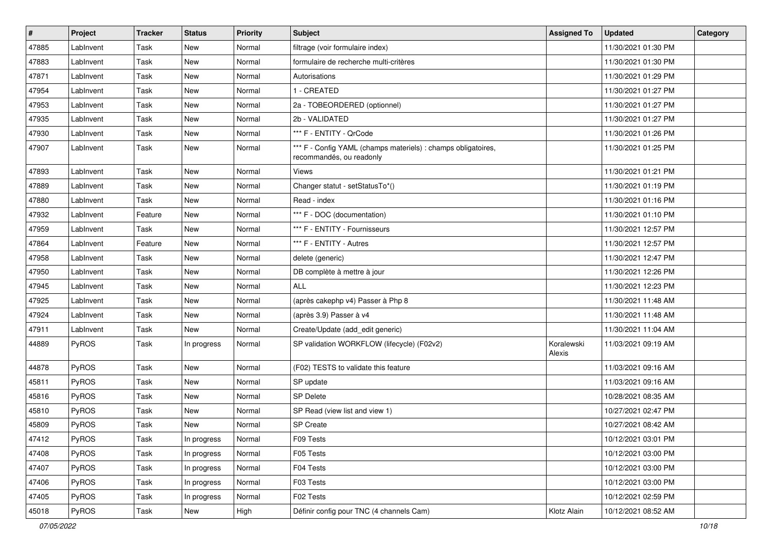| #     | Project      | <b>Tracker</b> | <b>Status</b> | <b>Priority</b> | Subject                                                                                   | <b>Assigned To</b>   | <b>Updated</b>      | Category |
|-------|--------------|----------------|---------------|-----------------|-------------------------------------------------------------------------------------------|----------------------|---------------------|----------|
| 47885 | LabInvent    | Task           | <b>New</b>    | Normal          | filtrage (voir formulaire index)                                                          |                      | 11/30/2021 01:30 PM |          |
| 47883 | LabInvent    | Task           | New           | Normal          | formulaire de recherche multi-critères                                                    |                      | 11/30/2021 01:30 PM |          |
| 47871 | LabInvent    | Task           | <b>New</b>    | Normal          | Autorisations                                                                             |                      | 11/30/2021 01:29 PM |          |
| 47954 | LabInvent    | Task           | <b>New</b>    | Normal          | 1 - CREATED                                                                               |                      | 11/30/2021 01:27 PM |          |
| 47953 | LabInvent    | Task           | New           | Normal          | 2a - TOBEORDERED (optionnel)                                                              |                      | 11/30/2021 01:27 PM |          |
| 47935 | LabInvent    | Task           | New           | Normal          | 2b - VALIDATED                                                                            |                      | 11/30/2021 01:27 PM |          |
| 47930 | LabInvent    | Task           | <b>New</b>    | Normal          | *** F - ENTITY - QrCode                                                                   |                      | 11/30/2021 01:26 PM |          |
| 47907 | LabInvent    | Task           | New           | Normal          | *** F - Config YAML (champs materiels) : champs obligatoires,<br>recommandés, ou readonly |                      | 11/30/2021 01:25 PM |          |
| 47893 | LabInvent    | Task           | <b>New</b>    | Normal          | Views                                                                                     |                      | 11/30/2021 01:21 PM |          |
| 47889 | LabInvent    | Task           | <b>New</b>    | Normal          | Changer statut - setStatusTo*()                                                           |                      | 11/30/2021 01:19 PM |          |
| 47880 | LabInvent    | Task           | <b>New</b>    | Normal          | Read - index                                                                              |                      | 11/30/2021 01:16 PM |          |
| 47932 | LabInvent    | Feature        | New           | Normal          | *** F - DOC (documentation)                                                               |                      | 11/30/2021 01:10 PM |          |
| 47959 | LabInvent    | Task           | New           | Normal          | *** F - ENTITY - Fournisseurs                                                             |                      | 11/30/2021 12:57 PM |          |
| 47864 | LabInvent    | Feature        | <b>New</b>    | Normal          | *** F - ENTITY - Autres                                                                   |                      | 11/30/2021 12:57 PM |          |
| 47958 | LabInvent    | Task           | New           | Normal          | delete (generic)                                                                          |                      | 11/30/2021 12:47 PM |          |
| 47950 | LabInvent    | Task           | <b>New</b>    | Normal          | DB complète à mettre à jour                                                               |                      | 11/30/2021 12:26 PM |          |
| 47945 | LabInvent    | Task           | <b>New</b>    | Normal          | <b>ALL</b>                                                                                |                      | 11/30/2021 12:23 PM |          |
| 47925 | LabInvent    | Task           | <b>New</b>    | Normal          | (après cakephp v4) Passer à Php 8                                                         |                      | 11/30/2021 11:48 AM |          |
| 47924 | LabInvent    | Task           | <b>New</b>    | Normal          | (après 3.9) Passer à v4                                                                   |                      | 11/30/2021 11:48 AM |          |
| 47911 | LabInvent    | Task           | <b>New</b>    | Normal          | Create/Update (add_edit generic)                                                          |                      | 11/30/2021 11:04 AM |          |
| 44889 | <b>PyROS</b> | Task           | In progress   | Normal          | SP validation WORKFLOW (lifecycle) (F02v2)                                                | Koralewski<br>Alexis | 11/03/2021 09:19 AM |          |
| 44878 | PyROS        | Task           | <b>New</b>    | Normal          | (F02) TESTS to validate this feature                                                      |                      | 11/03/2021 09:16 AM |          |
| 45811 | PyROS        | Task           | <b>New</b>    | Normal          | SP update                                                                                 |                      | 11/03/2021 09:16 AM |          |
| 45816 | PyROS        | Task           | New           | Normal          | <b>SP Delete</b>                                                                          |                      | 10/28/2021 08:35 AM |          |
| 45810 | PyROS        | Task           | New           | Normal          | SP Read (view list and view 1)                                                            |                      | 10/27/2021 02:47 PM |          |
| 45809 | PyROS        | Task           | <b>New</b>    | Normal          | SP Create                                                                                 |                      | 10/27/2021 08:42 AM |          |
| 47412 | <b>PyROS</b> | Task           | In progress   | Normal          | F09 Tests                                                                                 |                      | 10/12/2021 03:01 PM |          |
| 47408 | PyROS        | Task           | In progress   | Normal          | F05 Tests                                                                                 |                      | 10/12/2021 03:00 PM |          |
| 47407 | PyROS        | Task           | In progress   | Normal          | F04 Tests                                                                                 |                      | 10/12/2021 03:00 PM |          |
| 47406 | PyROS        | Task           | In progress   | Normal          | F03 Tests                                                                                 |                      | 10/12/2021 03:00 PM |          |
| 47405 | PyROS        | Task           | In progress   | Normal          | F02 Tests                                                                                 |                      | 10/12/2021 02:59 PM |          |
| 45018 | PyROS        | Task           | New           | High            | Définir config pour TNC (4 channels Cam)                                                  | Klotz Alain          | 10/12/2021 08:52 AM |          |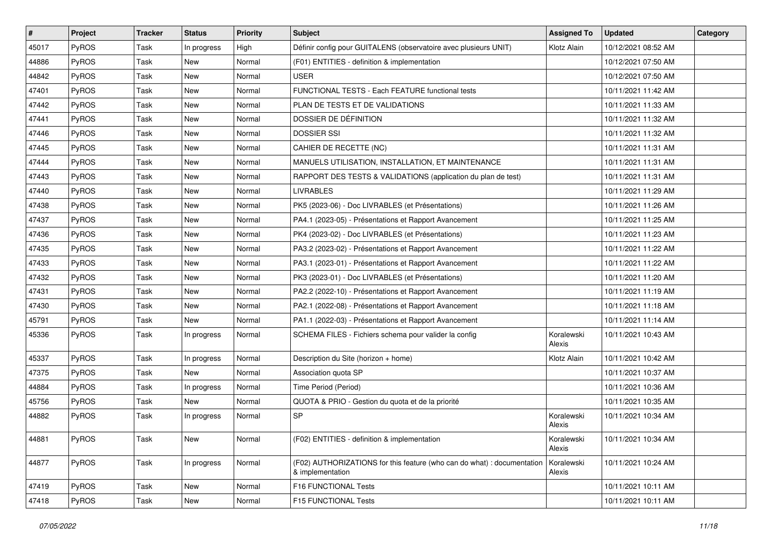| $\vert$ # | Project      | <b>Tracker</b> | <b>Status</b> | <b>Priority</b> | <b>Subject</b>                                                                              | <b>Assigned To</b>   | <b>Updated</b>      | Category |
|-----------|--------------|----------------|---------------|-----------------|---------------------------------------------------------------------------------------------|----------------------|---------------------|----------|
| 45017     | PyROS        | Task           | In progress   | High            | Définir config pour GUITALENS (observatoire avec plusieurs UNIT)                            | Klotz Alain          | 10/12/2021 08:52 AM |          |
| 44886     | PyROS        | Task           | <b>New</b>    | Normal          | (F01) ENTITIES - definition & implementation                                                |                      | 10/12/2021 07:50 AM |          |
| 44842     | PyROS        | Task           | New           | Normal          | <b>USER</b>                                                                                 |                      | 10/12/2021 07:50 AM |          |
| 47401     | PyROS        | Task           | <b>New</b>    | Normal          | FUNCTIONAL TESTS - Each FEATURE functional tests                                            |                      | 10/11/2021 11:42 AM |          |
| 47442     | PyROS        | Task           | <b>New</b>    | Normal          | PLAN DE TESTS ET DE VALIDATIONS                                                             |                      | 10/11/2021 11:33 AM |          |
| 47441     | PyROS        | Task           | New           | Normal          | DOSSIER DE DÉFINITION                                                                       |                      | 10/11/2021 11:32 AM |          |
| 47446     | PyROS        | Task           | <b>New</b>    | Normal          | <b>DOSSIER SSI</b>                                                                          |                      | 10/11/2021 11:32 AM |          |
| 47445     | PyROS        | Task           | New           | Normal          | CAHIER DE RECETTE (NC)                                                                      |                      | 10/11/2021 11:31 AM |          |
| 47444     | PyROS        | Task           | New           | Normal          | MANUELS UTILISATION, INSTALLATION, ET MAINTENANCE                                           |                      | 10/11/2021 11:31 AM |          |
| 47443     | PyROS        | Task           | New           | Normal          | RAPPORT DES TESTS & VALIDATIONS (application du plan de test)                               |                      | 10/11/2021 11:31 AM |          |
| 47440     | PyROS        | Task           | New           | Normal          | <b>LIVRABLES</b>                                                                            |                      | 10/11/2021 11:29 AM |          |
| 47438     | PyROS        | Task           | New           | Normal          | PK5 (2023-06) - Doc LIVRABLES (et Présentations)                                            |                      | 10/11/2021 11:26 AM |          |
| 47437     | PyROS        | Task           | New           | Normal          | PA4.1 (2023-05) - Présentations et Rapport Avancement                                       |                      | 10/11/2021 11:25 AM |          |
| 47436     | PyROS        | Task           | New           | Normal          | PK4 (2023-02) - Doc LIVRABLES (et Présentations)                                            |                      | 10/11/2021 11:23 AM |          |
| 47435     | PyROS        | Task           | New           | Normal          | PA3.2 (2023-02) - Présentations et Rapport Avancement                                       |                      | 10/11/2021 11:22 AM |          |
| 47433     | PyROS        | Task           | New           | Normal          | PA3.1 (2023-01) - Présentations et Rapport Avancement                                       |                      | 10/11/2021 11:22 AM |          |
| 47432     | PyROS        | Task           | New           | Normal          | PK3 (2023-01) - Doc LIVRABLES (et Présentations)                                            |                      | 10/11/2021 11:20 AM |          |
| 47431     | PyROS        | Task           | New           | Normal          | PA2.2 (2022-10) - Présentations et Rapport Avancement                                       |                      | 10/11/2021 11:19 AM |          |
| 47430     | PyROS        | Task           | New           | Normal          | PA2.1 (2022-08) - Présentations et Rapport Avancement                                       |                      | 10/11/2021 11:18 AM |          |
| 45791     | PyROS        | Task           | New           | Normal          | PA1.1 (2022-03) - Présentations et Rapport Avancement                                       |                      | 10/11/2021 11:14 AM |          |
| 45336     | PyROS        | Task           | In progress   | Normal          | SCHEMA FILES - Fichiers schema pour valider la config                                       | Koralewski<br>Alexis | 10/11/2021 10:43 AM |          |
| 45337     | PyROS        | Task           | In progress   | Normal          | Description du Site (horizon + home)                                                        | Klotz Alain          | 10/11/2021 10:42 AM |          |
| 47375     | PyROS        | Task           | New           | Normal          | Association quota SP                                                                        |                      | 10/11/2021 10:37 AM |          |
| 44884     | PyROS        | Task           | In progress   | Normal          | Time Period (Period)                                                                        |                      | 10/11/2021 10:36 AM |          |
| 45756     | PyROS        | Task           | New           | Normal          | QUOTA & PRIO - Gestion du quota et de la priorité                                           |                      | 10/11/2021 10:35 AM |          |
| 44882     | PyROS        | Task           | In progress   | Normal          | <b>SP</b>                                                                                   | Koralewski<br>Alexis | 10/11/2021 10:34 AM |          |
| 44881     | <b>PyROS</b> | Task           | New           | Normal          | (F02) ENTITIES - definition & implementation                                                | Koralewski<br>Alexis | 10/11/2021 10:34 AM |          |
| 44877     | PyROS        | Task           | In progress   | Normal          | (F02) AUTHORIZATIONS for this feature (who can do what) : documentation<br>& implementation | Koralewski<br>Alexis | 10/11/2021 10:24 AM |          |
| 47419     | PyROS        | Task           | New           | Normal          | F16 FUNCTIONAL Tests                                                                        |                      | 10/11/2021 10:11 AM |          |
| 47418     | PyROS        | Task           | New           | Normal          | F15 FUNCTIONAL Tests                                                                        |                      | 10/11/2021 10:11 AM |          |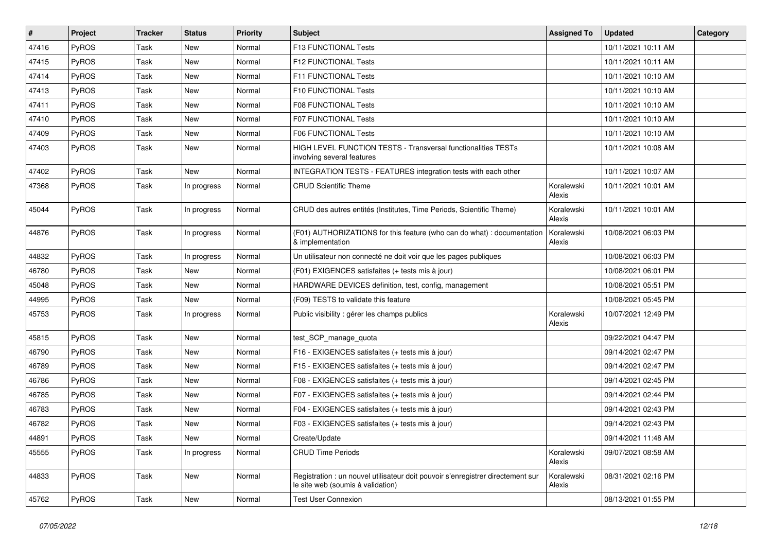| $\vert$ # | <b>Project</b> | <b>Tracker</b> | <b>Status</b> | <b>Priority</b> | <b>Subject</b>                                                                                                       | <b>Assigned To</b>   | <b>Updated</b>      | Category |
|-----------|----------------|----------------|---------------|-----------------|----------------------------------------------------------------------------------------------------------------------|----------------------|---------------------|----------|
| 47416     | PyROS          | Task           | New           | Normal          | F13 FUNCTIONAL Tests                                                                                                 |                      | 10/11/2021 10:11 AM |          |
| 47415     | PyROS          | Task           | New           | Normal          | F12 FUNCTIONAL Tests                                                                                                 |                      | 10/11/2021 10:11 AM |          |
| 47414     | PyROS          | Task           | New           | Normal          | F11 FUNCTIONAL Tests                                                                                                 |                      | 10/11/2021 10:10 AM |          |
| 47413     | PyROS          | Task           | New           | Normal          | <b>F10 FUNCTIONAL Tests</b>                                                                                          |                      | 10/11/2021 10:10 AM |          |
| 47411     | PyROS          | Task           | New           | Normal          | <b>F08 FUNCTIONAL Tests</b>                                                                                          |                      | 10/11/2021 10:10 AM |          |
| 47410     | PyROS          | Task           | New           | Normal          | F07 FUNCTIONAL Tests                                                                                                 |                      | 10/11/2021 10:10 AM |          |
| 47409     | PyROS          | Task           | <b>New</b>    | Normal          | <b>F06 FUNCTIONAL Tests</b>                                                                                          |                      | 10/11/2021 10:10 AM |          |
| 47403     | PyROS          | Task           | New           | Normal          | HIGH LEVEL FUNCTION TESTS - Transversal functionalities TESTs<br>involving several features                          |                      | 10/11/2021 10:08 AM |          |
| 47402     | PyROS          | Task           | New           | Normal          | INTEGRATION TESTS - FEATURES integration tests with each other                                                       |                      | 10/11/2021 10:07 AM |          |
| 47368     | PyROS          | Task           | In progress   | Normal          | <b>CRUD Scientific Theme</b>                                                                                         | Koralewski<br>Alexis | 10/11/2021 10:01 AM |          |
| 45044     | PyROS          | Task           | In progress   | Normal          | CRUD des autres entités (Institutes, Time Periods, Scientific Theme)                                                 | Koralewski<br>Alexis | 10/11/2021 10:01 AM |          |
| 44876     | PyROS          | Task           | In progress   | Normal          | (F01) AUTHORIZATIONS for this feature (who can do what) : documentation<br>& implementation                          | Koralewski<br>Alexis | 10/08/2021 06:03 PM |          |
| 44832     | PyROS          | Task           | In progress   | Normal          | Un utilisateur non connecté ne doit voir que les pages publiques                                                     |                      | 10/08/2021 06:03 PM |          |
| 46780     | PyROS          | Task           | New           | Normal          | (F01) EXIGENCES satisfaites (+ tests mis à jour)                                                                     |                      | 10/08/2021 06:01 PM |          |
| 45048     | PyROS          | Task           | New           | Normal          | HARDWARE DEVICES definition, test, config, management                                                                |                      | 10/08/2021 05:51 PM |          |
| 44995     | PyROS          | Task           | New           | Normal          | (F09) TESTS to validate this feature                                                                                 |                      | 10/08/2021 05:45 PM |          |
| 45753     | PyROS          | Task           | In progress   | Normal          | Public visibility : gérer les champs publics                                                                         | Koralewski<br>Alexis | 10/07/2021 12:49 PM |          |
| 45815     | PyROS          | Task           | New           | Normal          | test_SCP_manage_quota                                                                                                |                      | 09/22/2021 04:47 PM |          |
| 46790     | PyROS          | Task           | New           | Normal          | F16 - EXIGENCES satisfaites (+ tests mis à jour)                                                                     |                      | 09/14/2021 02:47 PM |          |
| 46789     | PyROS          | Task           | <b>New</b>    | Normal          | F15 - EXIGENCES satisfaites (+ tests mis à jour)                                                                     |                      | 09/14/2021 02:47 PM |          |
| 46786     | PyROS          | Task           | New           | Normal          | F08 - EXIGENCES satisfaites (+ tests mis à jour)                                                                     |                      | 09/14/2021 02:45 PM |          |
| 46785     | <b>PyROS</b>   | Task           | New           | Normal          | F07 - EXIGENCES satisfaites (+ tests mis à jour)                                                                     |                      | 09/14/2021 02:44 PM |          |
| 46783     | PyROS          | Task           | <b>New</b>    | Normal          | F04 - EXIGENCES satisfaites (+ tests mis à jour)                                                                     |                      | 09/14/2021 02:43 PM |          |
| 46782     | PyROS          | Task           | <b>New</b>    | Normal          | F03 - EXIGENCES satisfaites (+ tests mis à jour)                                                                     |                      | 09/14/2021 02:43 PM |          |
| 44891     | PyROS          | Task           | New           | Normal          | Create/Update                                                                                                        |                      | 09/14/2021 11:48 AM |          |
| 45555     | PyROS          | Task           | In progress   | Normal          | <b>CRUD Time Periods</b>                                                                                             | Koralewski<br>Alexis | 09/07/2021 08:58 AM |          |
| 44833     | PyROS          | Task           | New           | Normal          | Registration : un nouvel utilisateur doit pouvoir s'enregistrer directement sur<br>le site web (soumis à validation) | Koralewski<br>Alexis | 08/31/2021 02:16 PM |          |
| 45762     | PyROS          | Task           | New           | Normal          | <b>Test User Connexion</b>                                                                                           |                      | 08/13/2021 01:55 PM |          |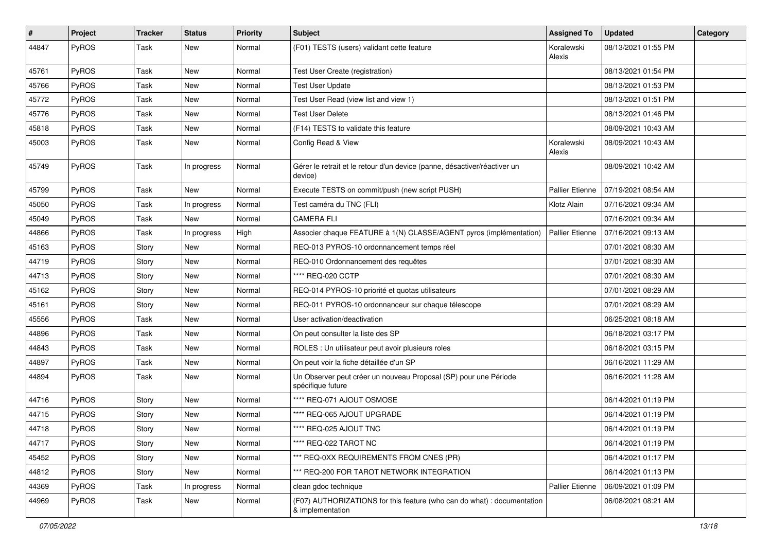| #     | Project      | <b>Tracker</b> | <b>Status</b> | <b>Priority</b> | <b>Subject</b>                                                                              | <b>Assigned To</b>     | <b>Updated</b>      | Category |
|-------|--------------|----------------|---------------|-----------------|---------------------------------------------------------------------------------------------|------------------------|---------------------|----------|
| 44847 | PyROS        | Task           | New           | Normal          | (F01) TESTS (users) validant cette feature                                                  | Koralewski<br>Alexis   | 08/13/2021 01:55 PM |          |
| 45761 | PyROS        | Task           | New           | Normal          | Test User Create (registration)                                                             |                        | 08/13/2021 01:54 PM |          |
| 45766 | PyROS        | Task           | New           | Normal          | <b>Test User Update</b>                                                                     |                        | 08/13/2021 01:53 PM |          |
| 45772 | PyROS        | Task           | New           | Normal          | Test User Read (view list and view 1)                                                       |                        | 08/13/2021 01:51 PM |          |
| 45776 | PyROS        | Task           | <b>New</b>    | Normal          | Test User Delete                                                                            |                        | 08/13/2021 01:46 PM |          |
| 45818 | PyROS        | Task           | <b>New</b>    | Normal          | (F14) TESTS to validate this feature                                                        |                        | 08/09/2021 10:43 AM |          |
| 45003 | PyROS        | Task           | New           | Normal          | Config Read & View                                                                          | Koralewski<br>Alexis   | 08/09/2021 10:43 AM |          |
| 45749 | PyROS        | Task           | In progress   | Normal          | Gérer le retrait et le retour d'un device (panne, désactiver/réactiver un<br>device)        |                        | 08/09/2021 10:42 AM |          |
| 45799 | PyROS        | Task           | New           | Normal          | Execute TESTS on commit/push (new script PUSH)                                              | <b>Pallier Etienne</b> | 07/19/2021 08:54 AM |          |
| 45050 | PyROS        | Task           | In progress   | Normal          | Test caméra du TNC (FLI)                                                                    | Klotz Alain            | 07/16/2021 09:34 AM |          |
| 45049 | PyROS        | Task           | New           | Normal          | <b>CAMERA FLI</b>                                                                           |                        | 07/16/2021 09:34 AM |          |
| 44866 | PyROS        | Task           | In progress   | High            | Associer chaque FEATURE à 1(N) CLASSE/AGENT pyros (implémentation)                          | <b>Pallier Etienne</b> | 07/16/2021 09:13 AM |          |
| 45163 | <b>PyROS</b> | Story          | New           | Normal          | REQ-013 PYROS-10 ordonnancement temps réel                                                  |                        | 07/01/2021 08:30 AM |          |
| 44719 | PyROS        | Story          | New           | Normal          | REQ-010 Ordonnancement des requêtes                                                         |                        | 07/01/2021 08:30 AM |          |
| 44713 | PyROS        | Story          | <b>New</b>    | Normal          | **** REQ-020 CCTP                                                                           |                        | 07/01/2021 08:30 AM |          |
| 45162 | PyROS        | Story          | New           | Normal          | REQ-014 PYROS-10 priorité et quotas utilisateurs                                            |                        | 07/01/2021 08:29 AM |          |
| 45161 | PyROS        | Story          | <b>New</b>    | Normal          | REQ-011 PYROS-10 ordonnanceur sur chaque télescope                                          |                        | 07/01/2021 08:29 AM |          |
| 45556 | PyROS        | Task           | New           | Normal          | User activation/deactivation                                                                |                        | 06/25/2021 08:18 AM |          |
| 44896 | PyROS        | Task           | New           | Normal          | On peut consulter la liste des SP                                                           |                        | 06/18/2021 03:17 PM |          |
| 44843 | PyROS        | Task           | <b>New</b>    | Normal          | ROLES : Un utilisateur peut avoir plusieurs roles                                           |                        | 06/18/2021 03:15 PM |          |
| 44897 | <b>PyROS</b> | Task           | New           | Normal          | On peut voir la fiche détaillée d'un SP                                                     |                        | 06/16/2021 11:29 AM |          |
| 44894 | PyROS        | Task           | New           | Normal          | Un Observer peut créer un nouveau Proposal (SP) pour une Période<br>spécifique future       |                        | 06/16/2021 11:28 AM |          |
| 44716 | PyROS        | Story          | <b>New</b>    | Normal          | **** REQ-071 AJOUT OSMOSE                                                                   |                        | 06/14/2021 01:19 PM |          |
| 44715 | PyROS        | Story          | New           | Normal          | **** REQ-065 AJOUT UPGRADE                                                                  |                        | 06/14/2021 01:19 PM |          |
| 44718 | PyROS        | Story          | New           | Normal          | **** REQ-025 AJOUT TNC                                                                      |                        | 06/14/2021 01:19 PM |          |
| 44717 | PyROS        | Story          | New           | Normal          | **** REQ-022 TAROT NC                                                                       |                        | 06/14/2021 01:19 PM |          |
| 45452 | PyROS        | Story          | New           | Normal          | *** REQ-0XX REQUIREMENTS FROM CNES (PR)                                                     |                        | 06/14/2021 01:17 PM |          |
| 44812 | PyROS        | Story          | New           | Normal          | *** REQ-200 FOR TAROT NETWORK INTEGRATION                                                   |                        | 06/14/2021 01:13 PM |          |
| 44369 | PyROS        | Task           | In progress   | Normal          | clean gdoc technique                                                                        | <b>Pallier Etienne</b> | 06/09/2021 01:09 PM |          |
| 44969 | PyROS        | Task           | New           | Normal          | (F07) AUTHORIZATIONS for this feature (who can do what) : documentation<br>& implementation |                        | 06/08/2021 08:21 AM |          |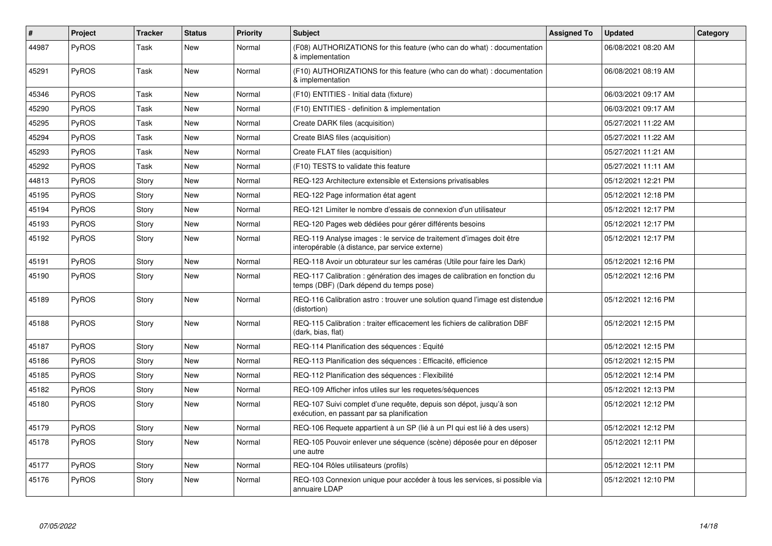| #     | Project      | <b>Tracker</b> | <b>Status</b> | <b>Priority</b> | <b>Subject</b>                                                                                                          | <b>Assigned To</b> | <b>Updated</b>      | Category |
|-------|--------------|----------------|---------------|-----------------|-------------------------------------------------------------------------------------------------------------------------|--------------------|---------------------|----------|
| 44987 | PyROS        | Task           | <b>New</b>    | Normal          | (F08) AUTHORIZATIONS for this feature (who can do what) : documentation<br>& implementation                             |                    | 06/08/2021 08:20 AM |          |
| 45291 | PyROS        | Task           | New           | Normal          | (F10) AUTHORIZATIONS for this feature (who can do what) : documentation<br>& implementation                             |                    | 06/08/2021 08:19 AM |          |
| 45346 | PyROS        | Task           | New           | Normal          | (F10) ENTITIES - Initial data (fixture)                                                                                 |                    | 06/03/2021 09:17 AM |          |
| 45290 | <b>PyROS</b> | Task           | New           | Normal          | (F10) ENTITIES - definition & implementation                                                                            |                    | 06/03/2021 09:17 AM |          |
| 45295 | <b>PyROS</b> | Task           | <b>New</b>    | Normal          | Create DARK files (acquisition)                                                                                         |                    | 05/27/2021 11:22 AM |          |
| 45294 | PyROS        | Task           | New           | Normal          | Create BIAS files (acquisition)                                                                                         |                    | 05/27/2021 11:22 AM |          |
| 45293 | PyROS        | Task           | <b>New</b>    | Normal          | Create FLAT files (acquisition)                                                                                         |                    | 05/27/2021 11:21 AM |          |
| 45292 | PyROS        | Task           | <b>New</b>    | Normal          | (F10) TESTS to validate this feature                                                                                    |                    | 05/27/2021 11:11 AM |          |
| 44813 | PyROS        | Story          | New           | Normal          | REQ-123 Architecture extensible et Extensions privatisables                                                             |                    | 05/12/2021 12:21 PM |          |
| 45195 | PyROS        | Story          | <b>New</b>    | Normal          | REQ-122 Page information état agent                                                                                     |                    | 05/12/2021 12:18 PM |          |
| 45194 | <b>PyROS</b> | Story          | <b>New</b>    | Normal          | REQ-121 Limiter le nombre d'essais de connexion d'un utilisateur                                                        |                    | 05/12/2021 12:17 PM |          |
| 45193 | PyROS        | Story          | New           | Normal          | REQ-120 Pages web dédiées pour gérer différents besoins                                                                 |                    | 05/12/2021 12:17 PM |          |
| 45192 | <b>PyROS</b> | Story          | <b>New</b>    | Normal          | REQ-119 Analyse images : le service de traitement d'images doit être<br>interopérable (à distance, par service externe) |                    | 05/12/2021 12:17 PM |          |
| 45191 | PyROS        | Story          | New           | Normal          | REQ-118 Avoir un obturateur sur les caméras (Utile pour faire les Dark)                                                 |                    | 05/12/2021 12:16 PM |          |
| 45190 | <b>PyROS</b> | Story          | <b>New</b>    | Normal          | REQ-117 Calibration : génération des images de calibration en fonction du<br>temps (DBF) (Dark dépend du temps pose)    |                    | 05/12/2021 12:16 PM |          |
| 45189 | <b>PyROS</b> | Story          | New           | Normal          | REQ-116 Calibration astro: trouver une solution quand l'image est distendue<br>(distortion)                             |                    | 05/12/2021 12:16 PM |          |
| 45188 | PyROS        | Story          | New           | Normal          | REQ-115 Calibration : traiter efficacement les fichiers de calibration DBF<br>(dark, bias, flat)                        |                    | 05/12/2021 12:15 PM |          |
| 45187 | PyROS        | Story          | <b>New</b>    | Normal          | REQ-114 Planification des séquences : Equité                                                                            |                    | 05/12/2021 12:15 PM |          |
| 45186 | PyROS        | Story          | New           | Normal          | REQ-113 Planification des séquences : Efficacité, efficience                                                            |                    | 05/12/2021 12:15 PM |          |
| 45185 | <b>PyROS</b> | Story          | New           | Normal          | REQ-112 Planification des séquences : Flexibilité                                                                       |                    | 05/12/2021 12:14 PM |          |
| 45182 | PyROS        | Story          | <b>New</b>    | Normal          | REQ-109 Afficher infos utiles sur les requetes/séquences                                                                |                    | 05/12/2021 12:13 PM |          |
| 45180 | <b>PyROS</b> | Story          | <b>New</b>    | Normal          | REQ-107 Suivi complet d'une requête, depuis son dépot, jusqu'à son<br>exécution, en passant par sa planification        |                    | 05/12/2021 12:12 PM |          |
| 45179 | PyROS        | Story          | New           | Normal          | REQ-106 Requete appartient à un SP (lié à un PI qui est lié à des users)                                                |                    | 05/12/2021 12:12 PM |          |
| 45178 | <b>PyROS</b> | Story          | <b>New</b>    | Normal          | REQ-105 Pouvoir enlever une séquence (scène) déposée pour en déposer<br>une autre                                       |                    | 05/12/2021 12:11 PM |          |
| 45177 | PyROS        | Story          | New           | Normal          | REQ-104 Rôles utilisateurs (profils)                                                                                    |                    | 05/12/2021 12:11 PM |          |
| 45176 | PyROS        | Story          | New           | Normal          | REQ-103 Connexion unique pour accéder à tous les services, si possible via<br>annuaire LDAP                             |                    | 05/12/2021 12:10 PM |          |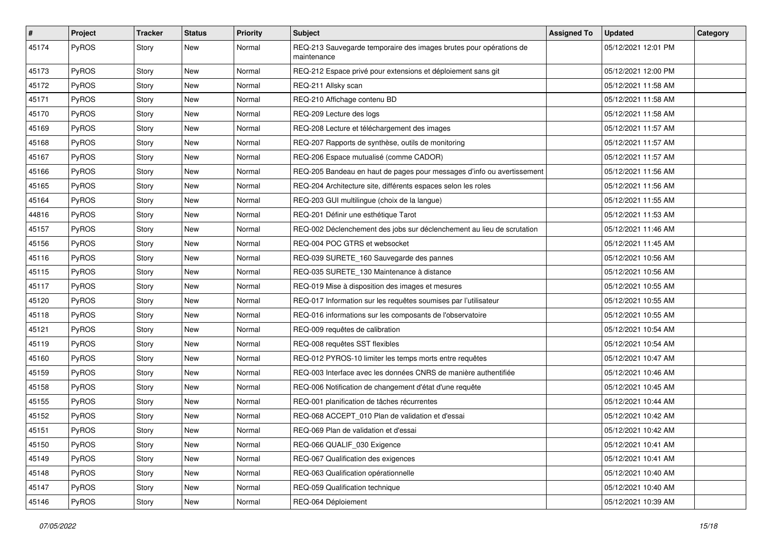| $\sharp$ | Project      | Tracker | <b>Status</b> | <b>Priority</b> | Subject                                                                           | <b>Assigned To</b> | <b>Updated</b>      | Category |
|----------|--------------|---------|---------------|-----------------|-----------------------------------------------------------------------------------|--------------------|---------------------|----------|
| 45174    | PyROS        | Story   | <b>New</b>    | Normal          | REQ-213 Sauvegarde temporaire des images brutes pour opérations de<br>maintenance |                    | 05/12/2021 12:01 PM |          |
| 45173    | PyROS        | Story   | <b>New</b>    | Normal          | REQ-212 Espace privé pour extensions et déploiement sans git                      |                    | 05/12/2021 12:00 PM |          |
| 45172    | PyROS        | Story   | <b>New</b>    | Normal          | REQ-211 Allsky scan                                                               |                    | 05/12/2021 11:58 AM |          |
| 45171    | PyROS        | Story   | <b>New</b>    | Normal          | REQ-210 Affichage contenu BD                                                      |                    | 05/12/2021 11:58 AM |          |
| 45170    | PyROS        | Story   | <b>New</b>    | Normal          | REQ-209 Lecture des logs                                                          |                    | 05/12/2021 11:58 AM |          |
| 45169    | PyROS        | Story   | <b>New</b>    | Normal          | REQ-208 Lecture et téléchargement des images                                      |                    | 05/12/2021 11:57 AM |          |
| 45168    | <b>PyROS</b> | Story   | New           | Normal          | REQ-207 Rapports de synthèse, outils de monitoring                                |                    | 05/12/2021 11:57 AM |          |
| 45167    | PyROS        | Story   | New           | Normal          | REQ-206 Espace mutualisé (comme CADOR)                                            |                    | 05/12/2021 11:57 AM |          |
| 45166    | PyROS        | Story   | <b>New</b>    | Normal          | REQ-205 Bandeau en haut de pages pour messages d'info ou avertissement            |                    | 05/12/2021 11:56 AM |          |
| 45165    | <b>PyROS</b> | Story   | <b>New</b>    | Normal          | REQ-204 Architecture site, différents espaces selon les roles                     |                    | 05/12/2021 11:56 AM |          |
| 45164    | PyROS        | Story   | <b>New</b>    | Normal          | REQ-203 GUI multilingue (choix de la langue)                                      |                    | 05/12/2021 11:55 AM |          |
| 44816    | PyROS        | Story   | New           | Normal          | REQ-201 Définir une esthétique Tarot                                              |                    | 05/12/2021 11:53 AM |          |
| 45157    | PyROS        | Story   | New           | Normal          | REQ-002 Déclenchement des jobs sur déclenchement au lieu de scrutation            |                    | 05/12/2021 11:46 AM |          |
| 45156    | PyROS        | Story   | <b>New</b>    | Normal          | REQ-004 POC GTRS et websocket                                                     |                    | 05/12/2021 11:45 AM |          |
| 45116    | <b>PyROS</b> | Story   | New           | Normal          | REQ-039 SURETE_160 Sauvegarde des pannes                                          |                    | 05/12/2021 10:56 AM |          |
| 45115    | PyROS        | Story   | New           | Normal          | REQ-035 SURETE_130 Maintenance à distance                                         |                    | 05/12/2021 10:56 AM |          |
| 45117    | PyROS        | Story   | New           | Normal          | REQ-019 Mise à disposition des images et mesures                                  |                    | 05/12/2021 10:55 AM |          |
| 45120    | PyROS        | Story   | <b>New</b>    | Normal          | REQ-017 Information sur les requêtes soumises par l'utilisateur                   |                    | 05/12/2021 10:55 AM |          |
| 45118    | PyROS        | Story   | <b>New</b>    | Normal          | REQ-016 informations sur les composants de l'observatoire                         |                    | 05/12/2021 10:55 AM |          |
| 45121    | <b>PyROS</b> | Story   | New           | Normal          | REQ-009 requêtes de calibration                                                   |                    | 05/12/2021 10:54 AM |          |
| 45119    | PyROS        | Story   | New           | Normal          | REQ-008 requêtes SST flexibles                                                    |                    | 05/12/2021 10:54 AM |          |
| 45160    | PyROS        | Story   | <b>New</b>    | Normal          | REQ-012 PYROS-10 limiter les temps morts entre requêtes                           |                    | 05/12/2021 10:47 AM |          |
| 45159    | PyROS        | Story   | New           | Normal          | REQ-003 Interface avec les données CNRS de manière authentifiée                   |                    | 05/12/2021 10:46 AM |          |
| 45158    | PyROS        | Story   | <b>New</b>    | Normal          | REQ-006 Notification de changement d'état d'une requête                           |                    | 05/12/2021 10:45 AM |          |
| 45155    | <b>PyROS</b> | Story   | New           | Normal          | REQ-001 planification de tâches récurrentes                                       |                    | 05/12/2021 10:44 AM |          |
| 45152    | PyROS        | Story   | New           | Normal          | REQ-068 ACCEPT 010 Plan de validation et d'essai                                  |                    | 05/12/2021 10:42 AM |          |
| 45151    | PyROS        | Story   | New           | Normal          | REQ-069 Plan de validation et d'essai                                             |                    | 05/12/2021 10:42 AM |          |
| 45150    | PyROS        | Story   | New           | Normal          | REQ-066 QUALIF_030 Exigence                                                       |                    | 05/12/2021 10:41 AM |          |
| 45149    | PyROS        | Story   | <b>New</b>    | Normal          | REQ-067 Qualification des exigences                                               |                    | 05/12/2021 10:41 AM |          |
| 45148    | PyROS        | Story   | New           | Normal          | REQ-063 Qualification opérationnelle                                              |                    | 05/12/2021 10:40 AM |          |
| 45147    | PyROS        | Story   | New           | Normal          | REQ-059 Qualification technique                                                   |                    | 05/12/2021 10:40 AM |          |
| 45146    | PyROS        | Story   | New           | Normal          | REQ-064 Déploiement                                                               |                    | 05/12/2021 10:39 AM |          |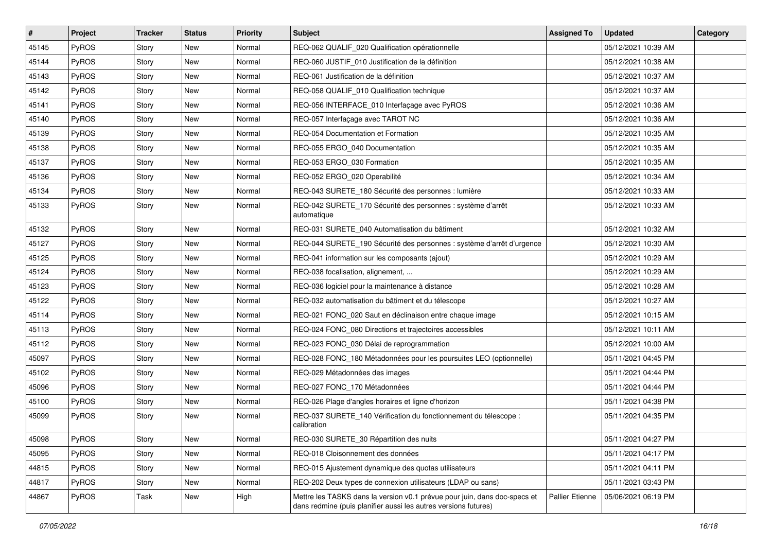| $\pmb{\#}$ | Project | <b>Tracker</b> | <b>Status</b> | <b>Priority</b> | <b>Subject</b>                                                                                                                               | <b>Assigned To</b>     | <b>Updated</b>      | Category |
|------------|---------|----------------|---------------|-----------------|----------------------------------------------------------------------------------------------------------------------------------------------|------------------------|---------------------|----------|
| 45145      | PyROS   | Story          | <b>New</b>    | Normal          | REQ-062 QUALIF_020 Qualification opérationnelle                                                                                              |                        | 05/12/2021 10:39 AM |          |
| 45144      | PyROS   | Story          | <b>New</b>    | Normal          | REQ-060 JUSTIF_010 Justification de la définition                                                                                            |                        | 05/12/2021 10:38 AM |          |
| 45143      | PyROS   | Story          | New           | Normal          | REQ-061 Justification de la définition                                                                                                       |                        | 05/12/2021 10:37 AM |          |
| 45142      | PyROS   | Story          | <b>New</b>    | Normal          | REQ-058 QUALIF_010 Qualification technique                                                                                                   |                        | 05/12/2021 10:37 AM |          |
| 45141      | PyROS   | Story          | <b>New</b>    | Normal          | REQ-056 INTERFACE_010 Interfaçage avec PyROS                                                                                                 |                        | 05/12/2021 10:36 AM |          |
| 45140      | PyROS   | Story          | New           | Normal          | REQ-057 Interfaçage avec TAROT NC                                                                                                            |                        | 05/12/2021 10:36 AM |          |
| 45139      | PyROS   | Story          | <b>New</b>    | Normal          | REQ-054 Documentation et Formation                                                                                                           |                        | 05/12/2021 10:35 AM |          |
| 45138      | PyROS   | Story          | New           | Normal          | REQ-055 ERGO 040 Documentation                                                                                                               |                        | 05/12/2021 10:35 AM |          |
| 45137      | PyROS   | Story          | New           | Normal          | REQ-053 ERGO_030 Formation                                                                                                                   |                        | 05/12/2021 10:35 AM |          |
| 45136      | PyROS   | Story          | <b>New</b>    | Normal          | REQ-052 ERGO_020 Operabilité                                                                                                                 |                        | 05/12/2021 10:34 AM |          |
| 45134      | PyROS   | Story          | New           | Normal          | REQ-043 SURETE_180 Sécurité des personnes : lumière                                                                                          |                        | 05/12/2021 10:33 AM |          |
| 45133      | PyROS   | Story          | <b>New</b>    | Normal          | REQ-042 SURETE_170 Sécurité des personnes : système d'arrêt<br>automatique                                                                   |                        | 05/12/2021 10:33 AM |          |
| 45132      | PyROS   | Story          | <b>New</b>    | Normal          | REQ-031 SURETE_040 Automatisation du bâtiment                                                                                                |                        | 05/12/2021 10:32 AM |          |
| 45127      | PyROS   | Story          | <b>New</b>    | Normal          | REQ-044 SURETE_190 Sécurité des personnes : système d'arrêt d'urgence                                                                        |                        | 05/12/2021 10:30 AM |          |
| 45125      | PyROS   | Story          | New           | Normal          | REQ-041 information sur les composants (ajout)                                                                                               |                        | 05/12/2021 10:29 AM |          |
| 45124      | PyROS   | Story          | New           | Normal          | REQ-038 focalisation, alignement,                                                                                                            |                        | 05/12/2021 10:29 AM |          |
| 45123      | PyROS   | Story          | <b>New</b>    | Normal          | REQ-036 logiciel pour la maintenance à distance                                                                                              |                        | 05/12/2021 10:28 AM |          |
| 45122      | PyROS   | Story          | New           | Normal          | REQ-032 automatisation du bâtiment et du télescope                                                                                           |                        | 05/12/2021 10:27 AM |          |
| 45114      | PyROS   | Story          | <b>New</b>    | Normal          | REQ-021 FONC_020 Saut en déclinaison entre chaque image                                                                                      |                        | 05/12/2021 10:15 AM |          |
| 45113      | PyROS   | Story          | New           | Normal          | REQ-024 FONC_080 Directions et trajectoires accessibles                                                                                      |                        | 05/12/2021 10:11 AM |          |
| 45112      | PyROS   | Story          | <b>New</b>    | Normal          | REQ-023 FONC_030 Délai de reprogrammation                                                                                                    |                        | 05/12/2021 10:00 AM |          |
| 45097      | PyROS   | Story          | <b>New</b>    | Normal          | REQ-028 FONC_180 Métadonnées pour les poursuites LEO (optionnelle)                                                                           |                        | 05/11/2021 04:45 PM |          |
| 45102      | PyROS   | Story          | New           | Normal          | REQ-029 Métadonnées des images                                                                                                               |                        | 05/11/2021 04:44 PM |          |
| 45096      | PyROS   | Story          | <b>New</b>    | Normal          | REQ-027 FONC_170 Métadonnées                                                                                                                 |                        | 05/11/2021 04:44 PM |          |
| 45100      | PyROS   | Story          | New           | Normal          | REQ-026 Plage d'angles horaires et ligne d'horizon                                                                                           |                        | 05/11/2021 04:38 PM |          |
| 45099      | PyROS   | Story          | New           | Normal          | REQ-037 SURETE_140 Vérification du fonctionnement du télescope :<br>calibration                                                              |                        | 05/11/2021 04:35 PM |          |
| 45098      | PyROS   | Story          | New           | Normal          | REQ-030 SURETE_30 Répartition des nuits                                                                                                      |                        | 05/11/2021 04:27 PM |          |
| 45095      | PyROS   | Story          | New           | Normal          | REQ-018 Cloisonnement des données                                                                                                            |                        | 05/11/2021 04:17 PM |          |
| 44815      | PyROS   | Story          | New           | Normal          | REQ-015 Ajustement dynamique des quotas utilisateurs                                                                                         |                        | 05/11/2021 04:11 PM |          |
| 44817      | PyROS   | Story          | New           | Normal          | REQ-202 Deux types de connexion utilisateurs (LDAP ou sans)                                                                                  |                        | 05/11/2021 03:43 PM |          |
| 44867      | PyROS   | Task           | New           | High            | Mettre les TASKS dans la version v0.1 prévue pour juin, dans doc-specs et<br>dans redmine (puis planifier aussi les autres versions futures) | <b>Pallier Etienne</b> | 05/06/2021 06:19 PM |          |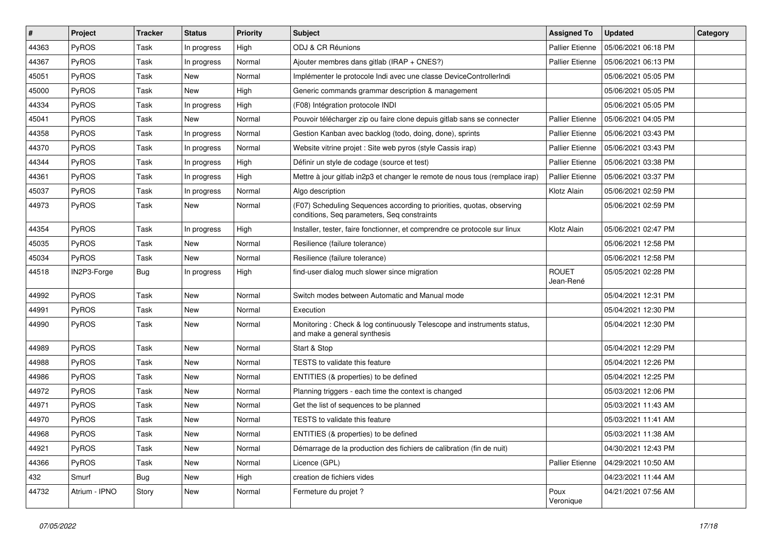| $\#$  | Project       | <b>Tracker</b> | <b>Status</b> | <b>Priority</b> | <b>Subject</b>                                                                                                       | <b>Assigned To</b>        | <b>Updated</b>      | Category |
|-------|---------------|----------------|---------------|-----------------|----------------------------------------------------------------------------------------------------------------------|---------------------------|---------------------|----------|
| 44363 | PyROS         | Task           | In progress   | High            | ODJ & CR Réunions                                                                                                    | <b>Pallier Etienne</b>    | 05/06/2021 06:18 PM |          |
| 44367 | PyROS         | Task           | In progress   | Normal          | Ajouter membres dans gitlab (IRAP + CNES?)                                                                           | <b>Pallier Etienne</b>    | 05/06/2021 06:13 PM |          |
| 45051 | <b>PyROS</b>  | Task           | New           | Normal          | Implémenter le protocole Indi avec une classe DeviceControllerIndi                                                   |                           | 05/06/2021 05:05 PM |          |
| 45000 | PyROS         | Task           | New           | High            | Generic commands grammar description & management                                                                    |                           | 05/06/2021 05:05 PM |          |
| 44334 | PyROS         | Task           | In progress   | High            | (F08) Intégration protocole INDI                                                                                     |                           | 05/06/2021 05:05 PM |          |
| 45041 | PyROS         | Task           | New           | Normal          | Pouvoir télécharger zip ou faire clone depuis gitlab sans se connecter                                               | <b>Pallier Etienne</b>    | 05/06/2021 04:05 PM |          |
| 44358 | PyROS         | Task           | In progress   | Normal          | Gestion Kanban avec backlog (todo, doing, done), sprints                                                             | <b>Pallier Etienne</b>    | 05/06/2021 03:43 PM |          |
| 44370 | <b>PyROS</b>  | Task           | In progress   | Normal          | Website vitrine projet : Site web pyros (style Cassis irap)                                                          | <b>Pallier Etienne</b>    | 05/06/2021 03:43 PM |          |
| 44344 | PyROS         | Task           | In progress   | High            | Définir un style de codage (source et test)                                                                          | Pallier Etienne           | 05/06/2021 03:38 PM |          |
| 44361 | PyROS         | Task           | In progress   | High            | Mettre à jour gitlab in2p3 et changer le remote de nous tous (remplace irap)                                         | <b>Pallier Etienne</b>    | 05/06/2021 03:37 PM |          |
| 45037 | PyROS         | Task           | In progress   | Normal          | Algo description                                                                                                     | Klotz Alain               | 05/06/2021 02:59 PM |          |
| 44973 | PyROS         | Task           | <b>New</b>    | Normal          | (F07) Scheduling Sequences according to priorities, quotas, observing<br>conditions, Seq parameters, Seq constraints |                           | 05/06/2021 02:59 PM |          |
| 44354 | PyROS         | Task           | In progress   | High            | Installer, tester, faire fonctionner, et comprendre ce protocole sur linux                                           | Klotz Alain               | 05/06/2021 02:47 PM |          |
| 45035 | PyROS         | Task           | New           | Normal          | Resilience (failure tolerance)                                                                                       |                           | 05/06/2021 12:58 PM |          |
| 45034 | PyROS         | Task           | New           | Normal          | Resilience (failure tolerance)                                                                                       |                           | 05/06/2021 12:58 PM |          |
| 44518 | IN2P3-Forge   | Bug            | In progress   | High            | find-user dialog much slower since migration                                                                         | <b>ROUET</b><br>Jean-René | 05/05/2021 02:28 PM |          |
| 44992 | PyROS         | Task           | New           | Normal          | Switch modes between Automatic and Manual mode                                                                       |                           | 05/04/2021 12:31 PM |          |
| 44991 | PyROS         | Task           | <b>New</b>    | Normal          | Execution                                                                                                            |                           | 05/04/2021 12:30 PM |          |
| 44990 | PyROS         | Task           | New           | Normal          | Monitoring: Check & log continuously Telescope and instruments status,<br>and make a general synthesis               |                           | 05/04/2021 12:30 PM |          |
| 44989 | PyROS         | Task           | <b>New</b>    | Normal          | Start & Stop                                                                                                         |                           | 05/04/2021 12:29 PM |          |
| 44988 | <b>PyROS</b>  | Task           | New           | Normal          | TESTS to validate this feature                                                                                       |                           | 05/04/2021 12:26 PM |          |
| 44986 | PyROS         | Task           | New           | Normal          | ENTITIES (& properties) to be defined                                                                                |                           | 05/04/2021 12:25 PM |          |
| 44972 | PyROS         | Task           | New           | Normal          | Planning triggers - each time the context is changed                                                                 |                           | 05/03/2021 12:06 PM |          |
| 44971 | PyROS         | Task           | New           | Normal          | Get the list of sequences to be planned                                                                              |                           | 05/03/2021 11:43 AM |          |
| 44970 | PyROS         | Task           | <b>New</b>    | Normal          | TESTS to validate this feature                                                                                       |                           | 05/03/2021 11:41 AM |          |
| 44968 | PyROS         | Task           | New           | Normal          | ENTITIES (& properties) to be defined                                                                                |                           | 05/03/2021 11:38 AM |          |
| 44921 | PyROS         | Task           | New           | Normal          | Démarrage de la production des fichiers de calibration (fin de nuit)                                                 |                           | 04/30/2021 12:43 PM |          |
| 44366 | PyROS         | Task           | New           | Normal          | Licence (GPL)                                                                                                        | Pallier Etienne           | 04/29/2021 10:50 AM |          |
| 432   | Smurf         | <b>Bug</b>     | New           | High            | creation de fichiers vides                                                                                           |                           | 04/23/2021 11:44 AM |          |
| 44732 | Atrium - IPNO | Story          | New           | Normal          | Fermeture du projet ?                                                                                                | Poux<br>Veronique         | 04/21/2021 07:56 AM |          |